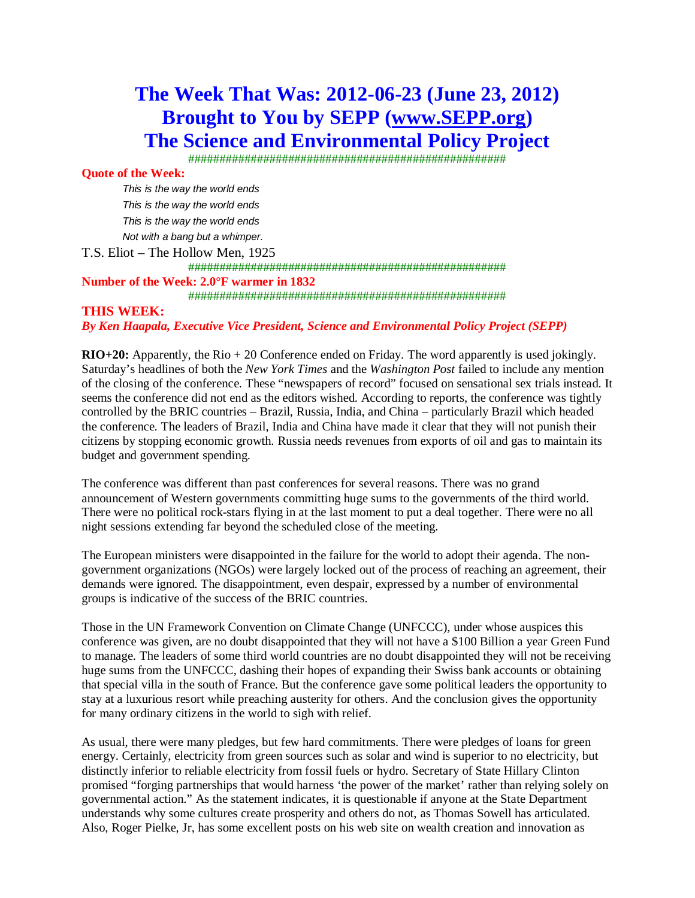# **The Week That Was: 2012-06-23 (June 23, 2012) Brought to You by SEPP (www.SEPP.org) The Science and Environmental Policy Project**

###################################################

#### **Quote of the Week:**

This is the way the world ends This is the way the world ends This is the way the world ends Not with a bang but a whimper. T.S. Eliot – The Hollow Men, 1925

###################################################

#### **Number of the Week: 2.0°F warmer in 1832**

###################################################

#### **THIS WEEK:**

*By Ken Haapala, Executive Vice President, Science and Environmental Policy Project (SEPP)* 

**RIO+20:** Apparently, the Rio + 20 Conference ended on Friday. The word apparently is used jokingly. Saturday's headlines of both the *New York Times* and the *Washington Post* failed to include any mention of the closing of the conference. These "newspapers of record" focused on sensational sex trials instead. It seems the conference did not end as the editors wished. According to reports, the conference was tightly controlled by the BRIC countries – Brazil, Russia, India, and China – particularly Brazil which headed the conference. The leaders of Brazil, India and China have made it clear that they will not punish their citizens by stopping economic growth. Russia needs revenues from exports of oil and gas to maintain its budget and government spending.

The conference was different than past conferences for several reasons. There was no grand announcement of Western governments committing huge sums to the governments of the third world. There were no political rock-stars flying in at the last moment to put a deal together. There were no all night sessions extending far beyond the scheduled close of the meeting.

The European ministers were disappointed in the failure for the world to adopt their agenda. The nongovernment organizations (NGOs) were largely locked out of the process of reaching an agreement, their demands were ignored. The disappointment, even despair, expressed by a number of environmental groups is indicative of the success of the BRIC countries.

Those in the UN Framework Convention on Climate Change (UNFCCC), under whose auspices this conference was given, are no doubt disappointed that they will not have a \$100 Billion a year Green Fund to manage. The leaders of some third world countries are no doubt disappointed they will not be receiving huge sums from the UNFCCC, dashing their hopes of expanding their Swiss bank accounts or obtaining that special villa in the south of France. But the conference gave some political leaders the opportunity to stay at a luxurious resort while preaching austerity for others. And the conclusion gives the opportunity for many ordinary citizens in the world to sigh with relief.

As usual, there were many pledges, but few hard commitments. There were pledges of loans for green energy. Certainly, electricity from green sources such as solar and wind is superior to no electricity, but distinctly inferior to reliable electricity from fossil fuels or hydro. Secretary of State Hillary Clinton promised "forging partnerships that would harness 'the power of the market' rather than relying solely on governmental action." As the statement indicates, it is questionable if anyone at the State Department understands why some cultures create prosperity and others do not, as Thomas Sowell has articulated. Also, Roger Pielke, Jr, has some excellent posts on his web site on wealth creation and innovation as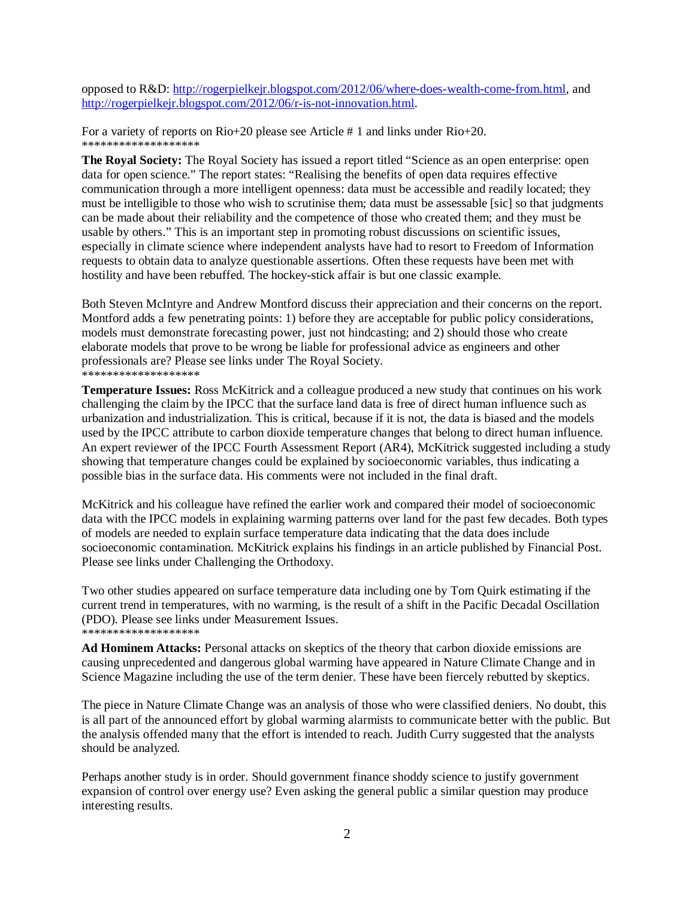opposed to R&D: http://rogerpielkejr.blogspot.com/2012/06/where-does-wealth-come-from.html, and http://rogerpielkejr.blogspot.com/2012/06/r-is-not-innovation.html.

For a variety of reports on Rio+20 please see Article # 1 and links under Rio+20. \*\*\*\*\*\*\*\*\*\*\*\*\*\*\*\*\*\*\*

**The Royal Society:** The Royal Society has issued a report titled "Science as an open enterprise: open data for open science." The report states: "Realising the benefits of open data requires effective communication through a more intelligent openness: data must be accessible and readily located; they must be intelligible to those who wish to scrutinise them; data must be assessable [sic] so that judgments can be made about their reliability and the competence of those who created them; and they must be usable by others." This is an important step in promoting robust discussions on scientific issues, especially in climate science where independent analysts have had to resort to Freedom of Information requests to obtain data to analyze questionable assertions. Often these requests have been met with hostility and have been rebuffed. The hockey-stick affair is but one classic example.

Both Steven McIntyre and Andrew Montford discuss their appreciation and their concerns on the report. Montford adds a few penetrating points: 1) before they are acceptable for public policy considerations, models must demonstrate forecasting power, just not hindcasting; and 2) should those who create elaborate models that prove to be wrong be liable for professional advice as engineers and other professionals are? Please see links under The Royal Society. \*\*\*\*\*\*\*\*\*\*\*\*\*\*\*\*\*\*

**Temperature Issues:** Ross McKitrick and a colleague produced a new study that continues on his work challenging the claim by the IPCC that the surface land data is free of direct human influence such as urbanization and industrialization. This is critical, because if it is not, the data is biased and the models used by the IPCC attribute to carbon dioxide temperature changes that belong to direct human influence. An expert reviewer of the IPCC Fourth Assessment Report (AR4), McKitrick suggested including a study showing that temperature changes could be explained by socioeconomic variables, thus indicating a possible bias in the surface data. His comments were not included in the final draft.

McKitrick and his colleague have refined the earlier work and compared their model of socioeconomic data with the IPCC models in explaining warming patterns over land for the past few decades. Both types of models are needed to explain surface temperature data indicating that the data does include socioeconomic contamination. McKitrick explains his findings in an article published by Financial Post. Please see links under Challenging the Orthodoxy.

Two other studies appeared on surface temperature data including one by Tom Quirk estimating if the current trend in temperatures, with no warming, is the result of a shift in the Pacific Decadal Oscillation (PDO). Please see links under Measurement Issues. \*\*\*\*\*\*\*\*\*\*\*\*\*\*\*\*\*\*\*

**Ad Hominem Attacks:** Personal attacks on skeptics of the theory that carbon dioxide emissions are causing unprecedented and dangerous global warming have appeared in Nature Climate Change and in Science Magazine including the use of the term denier. These have been fiercely rebutted by skeptics.

The piece in Nature Climate Change was an analysis of those who were classified deniers. No doubt, this is all part of the announced effort by global warming alarmists to communicate better with the public. But the analysis offended many that the effort is intended to reach. Judith Curry suggested that the analysts should be analyzed.

Perhaps another study is in order. Should government finance shoddy science to justify government expansion of control over energy use? Even asking the general public a similar question may produce interesting results.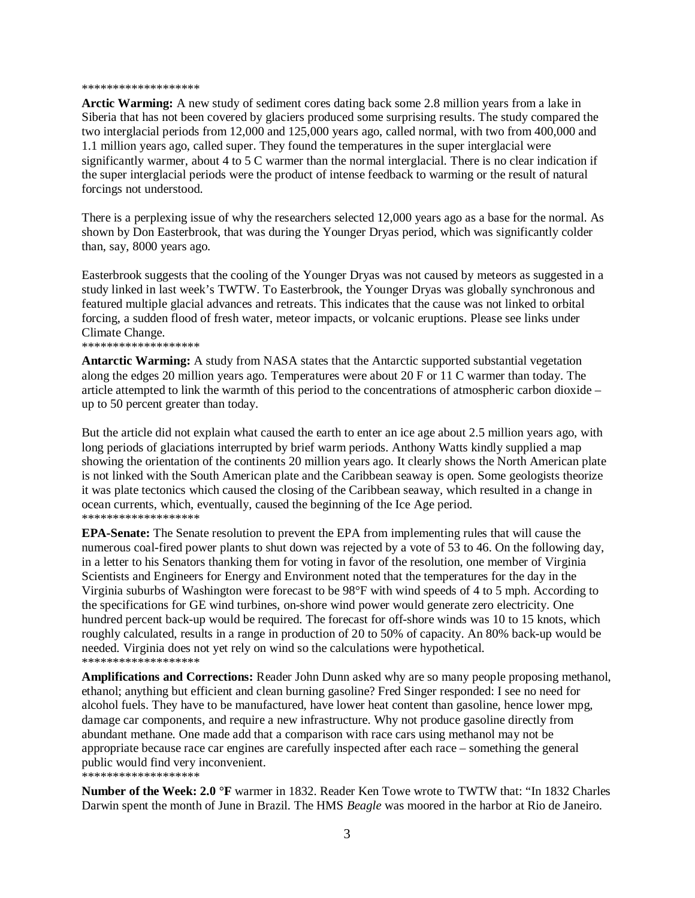#### \*\*\*\*\*\*\*\*\*\*\*\*\*\*\*\*\*\*\*\*\*\*\*\*\*\*\*\*\*\*\*\*\*\*\*

**Arctic Warming:** A new study of sediment cores dating back some 2.8 million years from a lake in Siberia that has not been covered by glaciers produced some surprising results. The study compared the two interglacial periods from 12,000 and 125,000 years ago, called normal, with two from 400,000 and 1.1 million years ago, called super. They found the temperatures in the super interglacial were significantly warmer, about 4 to 5 C warmer than the normal interglacial. There is no clear indication if the super interglacial periods were the product of intense feedback to warming or the result of natural forcings not understood.

There is a perplexing issue of why the researchers selected 12,000 years ago as a base for the normal. As shown by Don Easterbrook, that was during the Younger Dryas period, which was significantly colder than, say, 8000 years ago.

Easterbrook suggests that the cooling of the Younger Dryas was not caused by meteors as suggested in a study linked in last week's TWTW. To Easterbrook, the Younger Dryas was globally synchronous and featured multiple glacial advances and retreats. This indicates that the cause was not linked to orbital forcing, a sudden flood of fresh water, meteor impacts, or volcanic eruptions. Please see links under Climate Change. \*\*\*\*\*\*\*\*\*\*\*\*\*\*\*\*\*\*\*

**Antarctic Warming:** A study from NASA states that the Antarctic supported substantial vegetation along the edges 20 million years ago. Temperatures were about 20 F or 11 C warmer than today. The article attempted to link the warmth of this period to the concentrations of atmospheric carbon dioxide – up to 50 percent greater than today.

But the article did not explain what caused the earth to enter an ice age about 2.5 million years ago, with long periods of glaciations interrupted by brief warm periods. Anthony Watts kindly supplied a map showing the orientation of the continents 20 million years ago. It clearly shows the North American plate is not linked with the South American plate and the Caribbean seaway is open. Some geologists theorize it was plate tectonics which caused the closing of the Caribbean seaway, which resulted in a change in ocean currents, which, eventually, caused the beginning of the Ice Age period. \*\*\*\*\*\*\*\*\*\*\*\*\*\*\*\*\*\*\*

**EPA-Senate:** The Senate resolution to prevent the EPA from implementing rules that will cause the numerous coal-fired power plants to shut down was rejected by a vote of 53 to 46. On the following day, in a letter to his Senators thanking them for voting in favor of the resolution, one member of Virginia Scientists and Engineers for Energy and Environment noted that the temperatures for the day in the Virginia suburbs of Washington were forecast to be 98°F with wind speeds of 4 to 5 mph. According to the specifications for GE wind turbines, on-shore wind power would generate zero electricity. One hundred percent back-up would be required. The forecast for off-shore winds was 10 to 15 knots, which roughly calculated, results in a range in production of 20 to 50% of capacity. An 80% back-up would be needed. Virginia does not yet rely on wind so the calculations were hypothetical. \*\*\*\*\*\*\*\*\*\*\*\*\*\*\*\*\*\*\*

**Amplifications and Corrections:** Reader John Dunn asked why are so many people proposing methanol, ethanol; anything but efficient and clean burning gasoline? Fred Singer responded: I see no need for alcohol fuels. They have to be manufactured, have lower heat content than gasoline, hence lower mpg, damage car components, and require a new infrastructure. Why not produce gasoline directly from abundant methane. One made add that a comparison with race cars using methanol may not be appropriate because race car engines are carefully inspected after each race – something the general public would find very inconvenient.

\*\*\*\*\*\*\*\*\*\*\*\*\*\*\*\*\*\*\*

**Number of the Week: 2.0 °F** warmer in 1832. Reader Ken Towe wrote to TWTW that: "In 1832 Charles Darwin spent the month of June in Brazil. The HMS *Beagle* was moored in the harbor at Rio de Janeiro.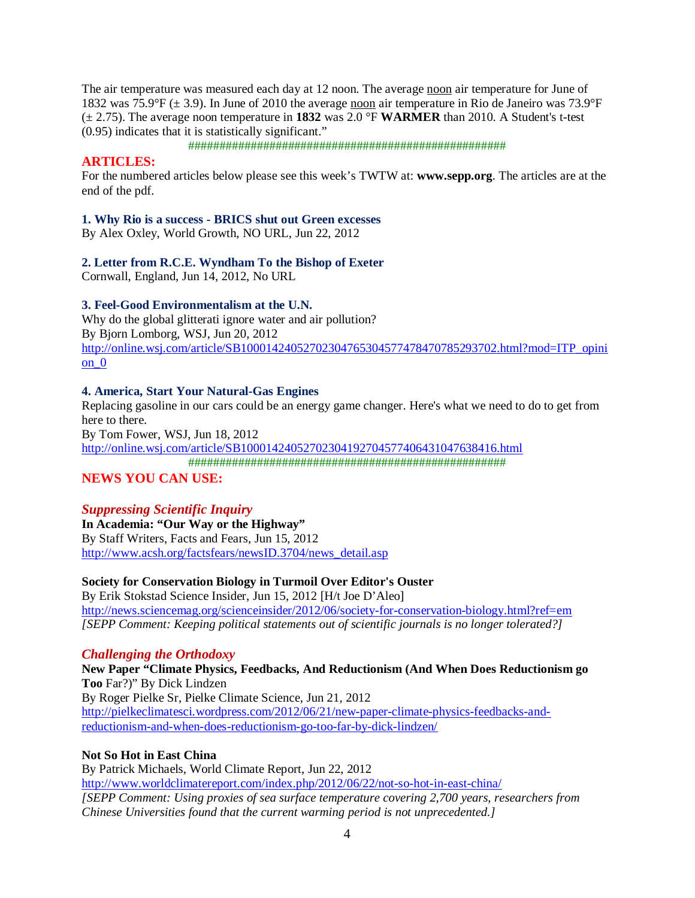The air temperature was measured each day at 12 noon. The average noon air temperature for June of 1832 was 75.9°F (± 3.9). In June of 2010 the average noon air temperature in Rio de Janeiro was 73.9°F (± 2.75). The average noon temperature in **1832** was 2.0 °F **WARMER** than 2010. A Student's t-test (0.95) indicates that it is statistically significant."

###################################################

#### **ARTICLES:**

For the numbered articles below please see this week's TWTW at: **www.sepp.org**. The articles are at the end of the pdf.

#### **1. Why Rio is a success - BRICS shut out Green excesses**

By Alex Oxley, World Growth, NO URL, Jun 22, 2012

#### **2. Letter from R.C.E. Wyndham To the Bishop of Exeter**

Cornwall, England, Jun 14, 2012, No URL

#### **3. Feel-Good Environmentalism at the U.N.**

Why do the global glitterati ignore water and air pollution? By Bjorn Lomborg, WSJ, Jun 20, 2012 http://online.wsj.com/article/SB10001424052702304765304577478470785293702.html?mod=ITP\_opini on\_0

#### **4. America, Start Your Natural-Gas Engines**

Replacing gasoline in our cars could be an energy game changer. Here's what we need to do to get from here to there.

By Tom Fower, WSJ, Jun 18, 2012 http://online.wsj.com/article/SB10001424052702304192704577406431047638416.html ###################################################

### **NEWS YOU CAN USE:**

### *Suppressing Scientific Inquiry*

**In Academia: "Our Way or the Highway"**  By Staff Writers, Facts and Fears, Jun 15, 2012 http://www.acsh.org/factsfears/newsID.3704/news\_detail.asp

#### **Society for Conservation Biology in Turmoil Over Editor's Ouster**

By Erik Stokstad Science Insider, Jun 15, 2012 [H/t Joe D'Aleo] http://news.sciencemag.org/scienceinsider/2012/06/society-for-conservation-biology.html?ref=em *[SEPP Comment: Keeping political statements out of scientific journals is no longer tolerated?]* 

### *Challenging the Orthodoxy*

**New Paper "Climate Physics, Feedbacks, And Reductionism (And When Does Reductionism go Too** Far?)" By Dick Lindzen By Roger Pielke Sr, Pielke Climate Science, Jun 21, 2012 http://pielkeclimatesci.wordpress.com/2012/06/21/new-paper-climate-physics-feedbacks-and-

reductionism-and-when-does-reductionism-go-too-far-by-dick-lindzen/

#### **Not So Hot in East China**

By Patrick Michaels, World Climate Report, Jun 22, 2012 http://www.worldclimatereport.com/index.php/2012/06/22/not-so-hot-in-east-china/ *[SEPP Comment: Using proxies of sea surface temperature covering 2,700 years, researchers from Chinese Universities found that the current warming period is not unprecedented.]*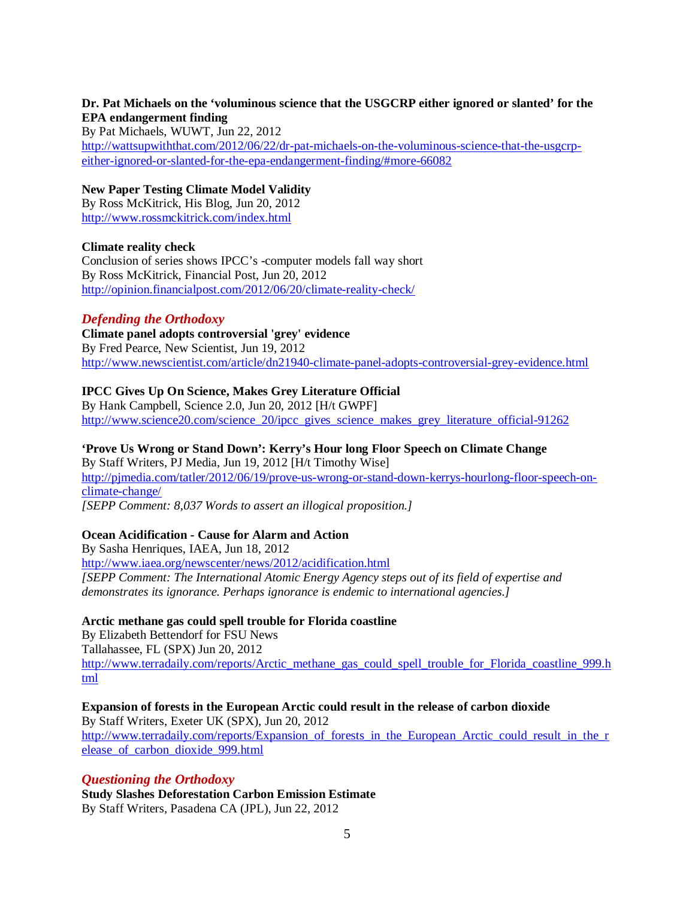### **Dr. Pat Michaels on the 'voluminous science that the USGCRP either ignored or slanted' for the EPA endangerment finding**

By Pat Michaels, WUWT, Jun 22, 2012

http://wattsupwiththat.com/2012/06/22/dr-pat-michaels-on-the-voluminous-science-that-the-usgcrpeither-ignored-or-slanted-for-the-epa-endangerment-finding/#more-66082

### **New Paper Testing Climate Model Validity**

By Ross McKitrick, His Blog, Jun 20, 2012 http://www.rossmckitrick.com/index.html

#### **Climate reality check**

Conclusion of series shows IPCC's -computer models fall way short By Ross McKitrick, Financial Post, Jun 20, 2012 http://opinion.financialpost.com/2012/06/20/climate-reality-check/

### *Defending the Orthodoxy*

**Climate panel adopts controversial 'grey' evidence**  By Fred Pearce, New Scientist, Jun 19, 2012 http://www.newscientist.com/article/dn21940-climate-panel-adopts-controversial-grey-evidence.html

### **IPCC Gives Up On Science, Makes Grey Literature Official**

By Hank Campbell, Science 2.0, Jun 20, 2012 [H/t GWPF] http://www.science20.com/science\_20/ipcc\_gives\_science\_makes\_grey\_literature\_official-91262

#### **'Prove Us Wrong or Stand Down': Kerry's Hour long Floor Speech on Climate Change**  By Staff Writers, PJ Media, Jun 19, 2012 [H/t Timothy Wise]

http://pjmedia.com/tatler/2012/06/19/prove-us-wrong-or-stand-down-kerrys-hourlong-floor-speech-onclimate-change/ *[SEPP Comment: 8,037 Words to assert an illogical proposition.]* 

#### **Ocean Acidification - Cause for Alarm and Action**

By Sasha Henriques, IAEA, Jun 18, 2012 http://www.iaea.org/newscenter/news/2012/acidification.html *[SEPP Comment: The International Atomic Energy Agency steps out of its field of expertise and demonstrates its ignorance. Perhaps ignorance is endemic to international agencies.]* 

#### **Arctic methane gas could spell trouble for Florida coastline**

By Elizabeth Bettendorf for FSU News Tallahassee, FL (SPX) Jun 20, 2012 http://www.terradaily.com/reports/Arctic\_methane\_gas\_could\_spell\_trouble\_for\_Florida\_coastline\_999.h tml

**Expansion of forests in the European Arctic could result in the release of carbon dioxide**  By Staff Writers, Exeter UK (SPX), Jun 20, 2012 http://www.terradaily.com/reports/Expansion\_of\_forests\_in\_the\_European\_Arctic\_could\_result\_in\_the\_r elease\_of\_carbon\_dioxide\_999.html

### *Questioning the Orthodoxy*

**Study Slashes Deforestation Carbon Emission Estimate**  By Staff Writers, Pasadena CA (JPL), Jun 22, 2012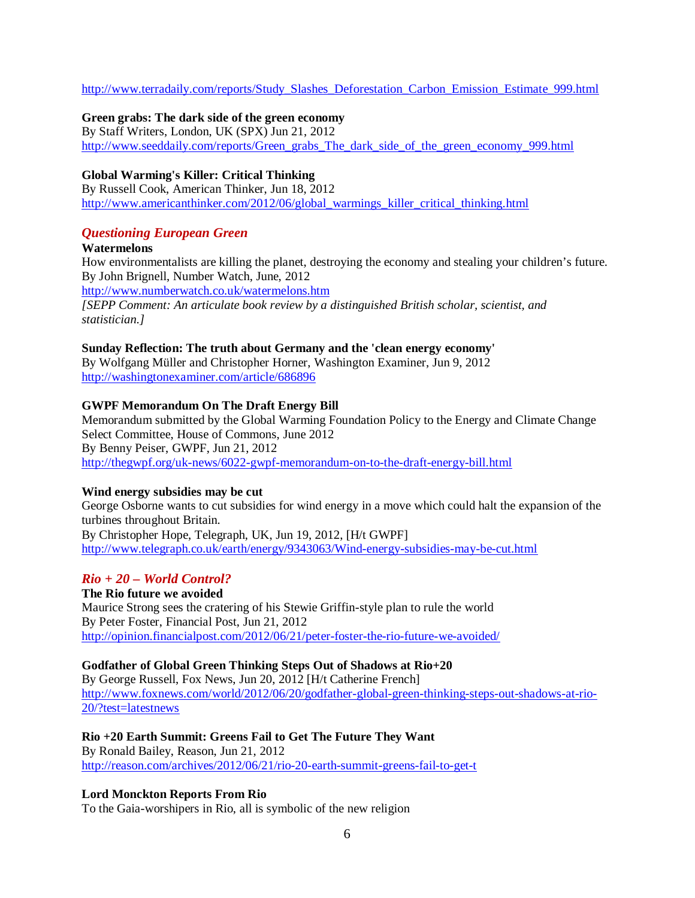#### http://www.terradaily.com/reports/Study\_Slashes\_Deforestation\_Carbon\_Emission\_Estimate\_999.html

#### **Green grabs: The dark side of the green economy**

By Staff Writers, London, UK (SPX) Jun 21, 2012 http://www.seeddaily.com/reports/Green\_grabs\_The\_dark\_side\_of\_the\_green\_economy\_999.html

#### **Global Warming's Killer: Critical Thinking**

By Russell Cook, American Thinker, Jun 18, 2012 http://www.americanthinker.com/2012/06/global\_warmings\_killer\_critical\_thinking.html

#### *Questioning European Green*

#### **Watermelons**

How environmentalists are killing the planet, destroying the economy and stealing your children's future. By John Brignell, Number Watch, June, 2012

http://www.numberwatch.co.uk/watermelons.htm

*[SEPP Comment: An articulate book review by a distinguished British scholar, scientist, and statistician.]* 

#### **Sunday Reflection: The truth about Germany and the 'clean energy economy'**

By Wolfgang Müller and Christopher Horner, Washington Examiner, Jun 9, 2012 http://washingtonexaminer.com/article/686896

#### **GWPF Memorandum On The Draft Energy Bill**

Memorandum submitted by the Global Warming Foundation Policy to the Energy and Climate Change Select Committee, House of Commons, June 2012 By Benny Peiser, GWPF, Jun 21, 2012 http://thegwpf.org/uk-news/6022-gwpf-memorandum-on-to-the-draft-energy-bill.html

#### **Wind energy subsidies may be cut**

George Osborne wants to cut subsidies for wind energy in a move which could halt the expansion of the turbines throughout Britain. By Christopher Hope, Telegraph, UK, Jun 19, 2012, [H/t GWPF] http://www.telegraph.co.uk/earth/energy/9343063/Wind-energy-subsidies-may-be-cut.html

#### *Rio + 20 – World Control?*

**The Rio future we avoided**  Maurice Strong sees the cratering of his Stewie Griffin-style plan to rule the world By Peter Foster, Financial Post, Jun 21, 2012 http://opinion.financialpost.com/2012/06/21/peter-foster-the-rio-future-we-avoided/

#### **Godfather of Global Green Thinking Steps Out of Shadows at Rio+20**

By George Russell, Fox News, Jun 20, 2012 [H/t Catherine French] http://www.foxnews.com/world/2012/06/20/godfather-global-green-thinking-steps-out-shadows-at-rio-20/?test=latestnews

#### **Rio +20 Earth Summit: Greens Fail to Get The Future They Want**

By Ronald Bailey, Reason, Jun 21, 2012 http://reason.com/archives/2012/06/21/rio-20-earth-summit-greens-fail-to-get-t

#### **Lord Monckton Reports From Rio**

To the Gaia-worshipers in Rio, all is symbolic of the new religion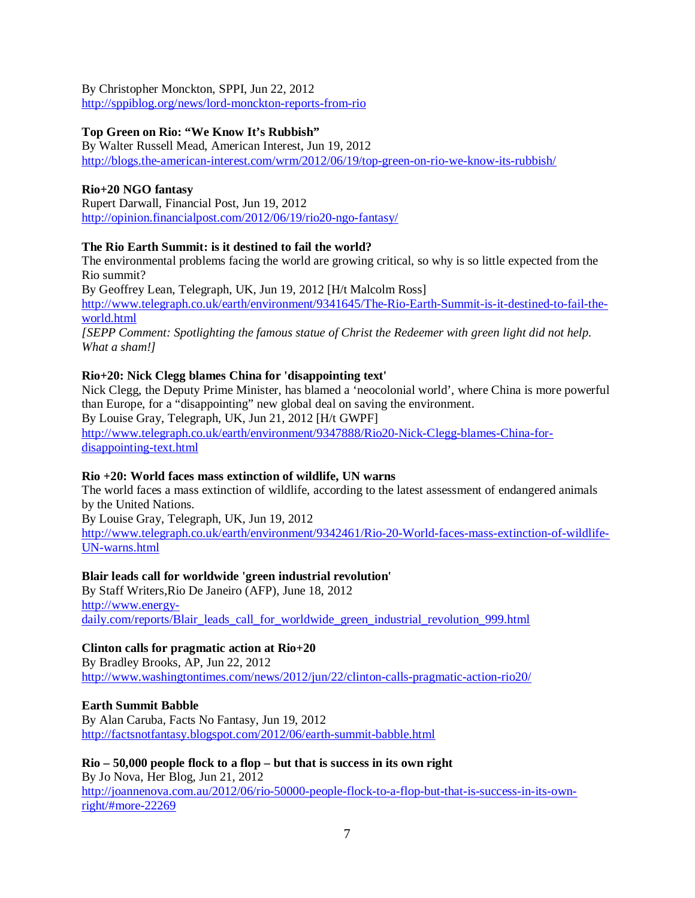By Christopher Monckton, SPPI, Jun 22, 2012 http://sppiblog.org/news/lord-monckton-reports-from-rio

### **Top Green on Rio: "We Know It's Rubbish"**

By Walter Russell Mead, American Interest, Jun 19, 2012 http://blogs.the-american-interest.com/wrm/2012/06/19/top-green-on-rio-we-know-its-rubbish/

### **Rio+20 NGO fantasy**

Rupert Darwall, Financial Post, Jun 19, 2012 http://opinion.financialpost.com/2012/06/19/rio20-ngo-fantasy/

### **The Rio Earth Summit: is it destined to fail the world?**

The environmental problems facing the world are growing critical, so why is so little expected from the Rio summit?

By Geoffrey Lean, Telegraph, UK, Jun 19, 2012 [H/t Malcolm Ross] http://www.telegraph.co.uk/earth/environment/9341645/The-Rio-Earth-Summit-is-it-destined-to-fail-theworld.html

*[SEPP Comment: Spotlighting the famous statue of Christ the Redeemer with green light did not help. What a sham!]* 

### **Rio+20: Nick Clegg blames China for 'disappointing text'**

Nick Clegg, the Deputy Prime Minister, has blamed a 'neocolonial world', where China is more powerful than Europe, for a "disappointing" new global deal on saving the environment. By Louise Gray, Telegraph, UK, Jun 21, 2012 [H/t GWPF] http://www.telegraph.co.uk/earth/environment/9347888/Rio20-Nick-Clegg-blames-China-fordisappointing-text.html

### **Rio +20: World faces mass extinction of wildlife, UN warns**

The world faces a mass extinction of wildlife, according to the latest assessment of endangered animals by the United Nations.

By Louise Gray, Telegraph, UK, Jun 19, 2012

http://www.telegraph.co.uk/earth/environment/9342461/Rio-20-World-faces-mass-extinction-of-wildlife-UN-warns.html

# **Blair leads call for worldwide 'green industrial revolution'**

By Staff Writers,Rio De Janeiro (AFP), June 18, 2012 http://www.energydaily.com/reports/Blair\_leads\_call\_for\_worldwide\_green\_industrial\_revolution\_999.html

### **Clinton calls for pragmatic action at Rio+20**

By Bradley Brooks, AP, Jun 22, 2012 http://www.washingtontimes.com/news/2012/jun/22/clinton-calls-pragmatic-action-rio20/

### **Earth Summit Babble**

By Alan Caruba, Facts No Fantasy, Jun 19, 2012 http://factsnotfantasy.blogspot.com/2012/06/earth-summit-babble.html

### **Rio – 50,000 people flock to a flop – but that is success in its own right**

By Jo Nova, Her Blog, Jun 21, 2012 http://joannenova.com.au/2012/06/rio-50000-people-flock-to-a-flop-but-that-is-success-in-its-ownright/#more-22269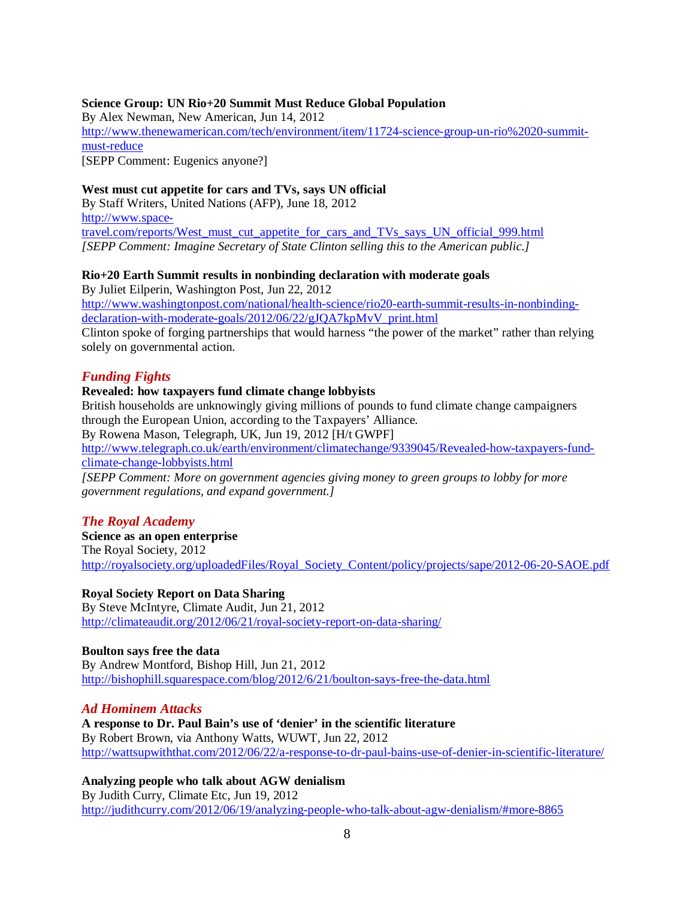#### **Science Group: UN Rio+20 Summit Must Reduce Global Population**

By Alex Newman, New American, Jun 14, 2012 http://www.thenewamerican.com/tech/environment/item/11724-science-group-un-rio%2020-summitmust-reduce [SEPP Comment: Eugenics anyone?]

### **West must cut appetite for cars and TVs, says UN official**

By Staff Writers, United Nations (AFP), June 18, 2012 http://www.spacetravel.com/reports/West\_must\_cut\_appetite\_for\_cars\_and\_TVs\_says\_UN\_official\_999.html *[SEPP Comment: Imagine Secretary of State Clinton selling this to the American public.]* 

#### **Rio+20 Earth Summit results in nonbinding declaration with moderate goals**

By Juliet Eilperin, Washington Post, Jun 22, 2012

http://www.washingtonpost.com/national/health-science/rio20-earth-summit-results-in-nonbindingdeclaration-with-moderate-goals/2012/06/22/gJQA7kpMvV\_print.html

Clinton spoke of forging partnerships that would harness "the power of the market" rather than relying solely on governmental action.

### *Funding Fights*

#### **Revealed: how taxpayers fund climate change lobbyists**

British households are unknowingly giving millions of pounds to fund climate change campaigners through the European Union, according to the Taxpayers' Alliance.

By Rowena Mason, Telegraph, UK, Jun 19, 2012 [H/t GWPF]

http://www.telegraph.co.uk/earth/environment/climatechange/9339045/Revealed-how-taxpayers-fundclimate-change-lobbyists.html

*[SEPP Comment: More on government agencies giving money to green groups to lobby for more government regulations, and expand government.]*

### *The Royal Academy*

**Science as an open enterprise**  The Royal Society, 2012 http://royalsociety.org/uploadedFiles/Royal\_Society\_Content/policy/projects/sape/2012-06-20-SAOE.pdf

#### **Royal Society Report on Data Sharing**

By Steve McIntyre, Climate Audit, Jun 21, 2012 http://climateaudit.org/2012/06/21/royal-society-report-on-data-sharing/

#### **Boulton says free the data**

By Andrew Montford, Bishop Hill, Jun 21, 2012 http://bishophill.squarespace.com/blog/2012/6/21/boulton-says-free-the-data.html

#### *Ad Hominem Attacks*

**A response to Dr. Paul Bain's use of 'denier' in the scientific literature**  By Robert Brown, via Anthony Watts, WUWT, Jun 22, 2012 http://wattsupwiththat.com/2012/06/22/a-response-to-dr-paul-bains-use-of-denier-in-scientific-literature/

### **Analyzing people who talk about AGW denialism**

By Judith Curry, Climate Etc, Jun 19, 2012 http://judithcurry.com/2012/06/19/analyzing-people-who-talk-about-agw-denialism/#more-8865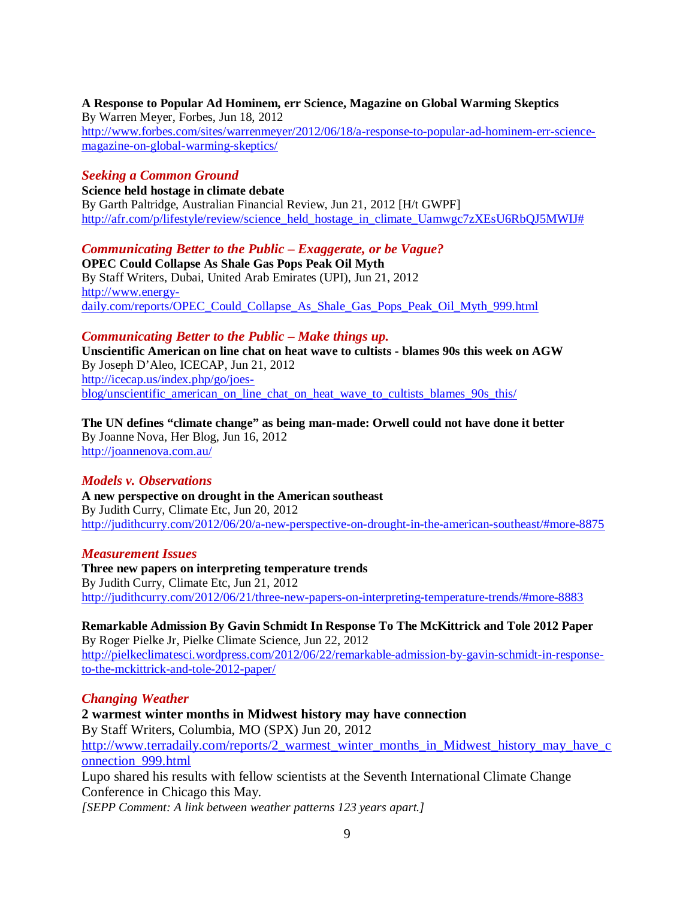#### **A Response to Popular Ad Hominem, err Science, Magazine on Global Warming Skeptics**

By Warren Meyer, Forbes, Jun 18, 2012 http://www.forbes.com/sites/warrenmeyer/2012/06/18/a-response-to-popular-ad-hominem-err-sciencemagazine-on-global-warming-skeptics/

### *Seeking a Common Ground*

**Science held hostage in climate debate** 

By Garth Paltridge, Australian Financial Review, Jun 21, 2012 [H/t GWPF] http://afr.com/p/lifestyle/review/science\_held\_hostage\_in\_climate\_Uamwgc7zXEsU6RbOJ5MWIJ#

*Communicating Better to the Public – Exaggerate, or be Vague?*  **OPEC Could Collapse As Shale Gas Pops Peak Oil Myth**  By Staff Writers, Dubai, United Arab Emirates (UPI), Jun 21, 2012 http://www.energydaily.com/reports/OPEC\_Could\_Collapse\_As\_Shale\_Gas\_Pops\_Peak\_Oil\_Myth\_999.html

### *Communicating Better to the Public – Make things up.*

**Unscientific American on line chat on heat wave to cultists - blames 90s this week on AGW**  By Joseph D'Aleo, ICECAP, Jun 21, 2012 http://icecap.us/index.php/go/joesblog/unscientific american on line chat on heat wave to cultists blames 90s this/

**The UN defines "climate change" as being man-made: Orwell could not have done it better**  By Joanne Nova, Her Blog, Jun 16, 2012 http://joannenova.com.au/

### *Models v. Observations*

**A new perspective on drought in the American southeast**  By Judith Curry, Climate Etc, Jun 20, 2012 http://judithcurry.com/2012/06/20/a-new-perspective-on-drought-in-the-american-southeast/#more-8875

#### *Measurement Issues*

**Three new papers on interpreting temperature trends**  By Judith Curry, Climate Etc, Jun 21, 2012 http://judithcurry.com/2012/06/21/three-new-papers-on-interpreting-temperature-trends/#more-8883

**Remarkable Admission By Gavin Schmidt In Response To The McKittrick and Tole 2012 Paper** By Roger Pielke Jr, Pielke Climate Science, Jun 22, 2012 http://pielkeclimatesci.wordpress.com/2012/06/22/remarkable-admission-by-gavin-schmidt-in-responseto-the-mckittrick-and-tole-2012-paper/

### *Changing Weather*

**2 warmest winter months in Midwest history may have connection**  By Staff Writers, Columbia, MO (SPX) Jun 20, 2012 http://www.terradaily.com/reports/2\_warmest\_winter\_months\_in\_Midwest\_history\_may\_have\_c onnection\_999.html Lupo shared his results with fellow scientists at the Seventh International Climate Change Conference in Chicago this May. *[SEPP Comment: A link between weather patterns 123 years apart.]*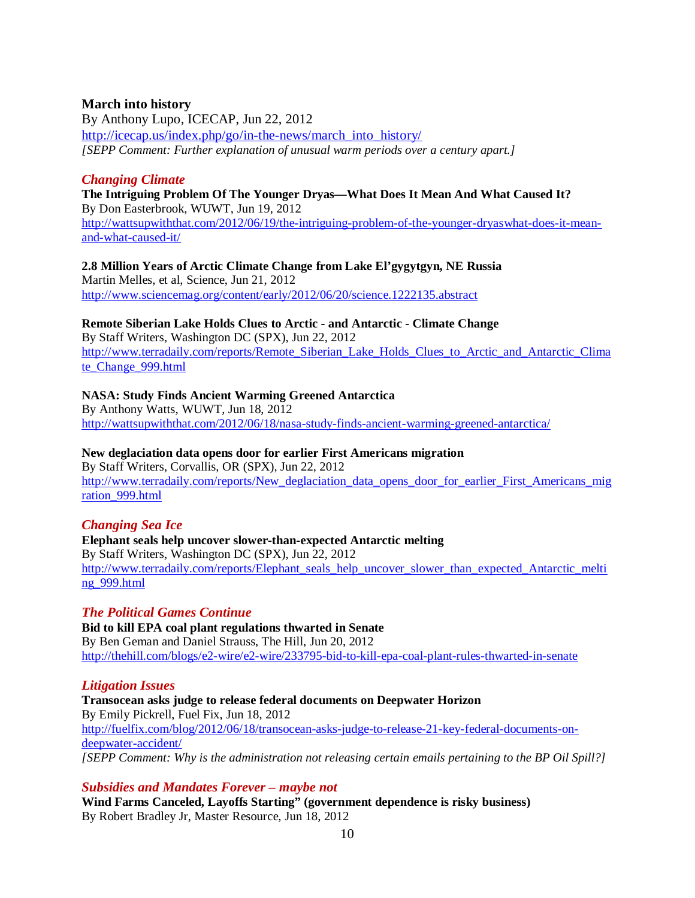### **March into history**

By Anthony Lupo, ICECAP, Jun 22, 2012 http://icecap.us/index.php/go/in-the-news/march\_into\_history/ *[SEPP Comment: Further explanation of unusual warm periods over a century apart.]* 

### *Changing Climate*

**The Intriguing Problem Of The Younger Dryas—What Does It Mean And What Caused It?**  By Don Easterbrook, WUWT, Jun 19, 2012

http://wattsupwiththat.com/2012/06/19/the-intriguing-problem-of-the-younger-dryaswhat-does-it-meanand-what-caused-it/

### **2.8 Million Years of Arctic Climate Change from Lake El'gygytgyn, NE Russia**

Martin Melles, et al, Science, Jun 21, 2012 http://www.sciencemag.org/content/early/2012/06/20/science.1222135.abstract

### **Remote Siberian Lake Holds Clues to Arctic - and Antarctic - Climate Change**

By Staff Writers, Washington DC (SPX), Jun 22, 2012 http://www.terradaily.com/reports/Remote\_Siberian\_Lake\_Holds\_Clues\_to\_Arctic\_and\_Antarctic\_Clima te Change 999.html

### **NASA: Study Finds Ancient Warming Greened Antarctica**

By Anthony Watts, WUWT, Jun 18, 2012 http://wattsupwiththat.com/2012/06/18/nasa-study-finds-ancient-warming-greened-antarctica/

#### **New deglaciation data opens door for earlier First Americans migration**

By Staff Writers, Corvallis, OR (SPX), Jun 22, 2012 http://www.terradaily.com/reports/New\_deglaciation\_data\_opens\_door\_for\_earlier\_First\_Americans\_mig ration\_999.html

### *Changing Sea Ice*

**Elephant seals help uncover slower-than-expected Antarctic melting**  By Staff Writers, Washington DC (SPX), Jun 22, 2012 http://www.terradaily.com/reports/Elephant\_seals\_help\_uncover\_slower\_than\_expected\_Antarctic\_melti ng\_999.html

### *The Political Games Continue*

**Bid to kill EPA coal plant regulations thwarted in Senate**  By Ben Geman and Daniel Strauss, The Hill, Jun 20, 2012 http://thehill.com/blogs/e2-wire/e2-wire/233795-bid-to-kill-epa-coal-plant-rules-thwarted-in-senate

### *Litigation Issues*

**Transocean asks judge to release federal documents on Deepwater Horizon**  By Emily Pickrell, Fuel Fix, Jun 18, 2012 http://fuelfix.com/blog/2012/06/18/transocean-asks-judge-to-release-21-key-federal-documents-ondeepwater-accident/ *[SEPP Comment: Why is the administration not releasing certain emails pertaining to the BP Oil Spill?]* 

### *Subsidies and Mandates Forever – maybe not*

**Wind Farms Canceled, Layoffs Starting" (government dependence is risky business)**  By Robert Bradley Jr, Master Resource, Jun 18, 2012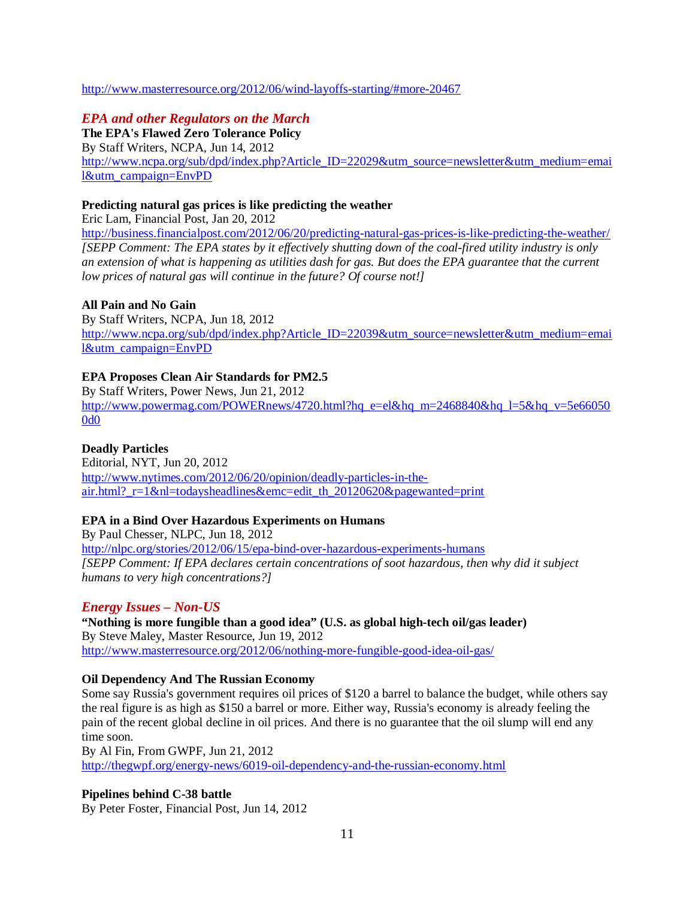#### http://www.masterresource.org/2012/06/wind-layoffs-starting/#more-20467

### *EPA and other Regulators on the March*

**The EPA's Flawed Zero Tolerance Policy**  By Staff Writers, NCPA, Jun 14, 2012 http://www.ncpa.org/sub/dpd/index.php?Article\_ID=22029&utm\_source=newsletter&utm\_medium=emai l&utm\_campaign=EnvPD

#### **Predicting natural gas prices is like predicting the weather**

Eric Lam, Financial Post, Jan 20, 2012

http://business.financialpost.com/2012/06/20/predicting-natural-gas-prices-is-like-predicting-the-weather/ *[SEPP Comment: The EPA states by it effectively shutting down of the coal-fired utility industry is only an extension of what is happening as utilities dash for gas. But does the EPA guarantee that the current low prices of natural gas will continue in the future? Of course not!]* 

### **All Pain and No Gain**

By Staff Writers, NCPA, Jun 18, 2012 http://www.ncpa.org/sub/dpd/index.php?Article\_ID=22039&utm\_source=newsletter&utm\_medium=emai l&utm\_campaign=EnvPD

### **EPA Proposes Clean Air Standards for PM2.5**

By Staff Writers, Power News, Jun 21, 2012 http://www.powermag.com/POWERnews/4720.html?hq\_e=el&hq\_m=2468840&hq\_l=5&hq\_v=5e66050 0d0

### **Deadly Particles**

Editorial, NYT, Jun 20, 2012 http://www.nytimes.com/2012/06/20/opinion/deadly-particles-in-theair.html?\_r=1&nl=todaysheadlines&emc=edit\_th\_20120620&pagewanted=print

### **EPA in a Bind Over Hazardous Experiments on Humans**

By Paul Chesser, NLPC, Jun 18, 2012 http://nlpc.org/stories/2012/06/15/epa-bind-over-hazardous-experiments-humans *[SEPP Comment: If EPA declares certain concentrations of soot hazardous, then why did it subject humans to very high concentrations?]* 

### *Energy Issues – Non-US*

**"Nothing is more fungible than a good idea" (U.S. as global high-tech oil/gas leader)**  By Steve Maley, Master Resource, Jun 19, 2012 http://www.masterresource.org/2012/06/nothing-more-fungible-good-idea-oil-gas/

#### **Oil Dependency And The Russian Economy**

Some say Russia's government requires oil prices of \$120 a barrel to balance the budget, while others say the real figure is as high as \$150 a barrel or more. Either way, Russia's economy is already feeling the pain of the recent global decline in oil prices. And there is no guarantee that the oil slump will end any time soon.

By Al Fin, From GWPF, Jun 21, 2012 http://thegwpf.org/energy-news/6019-oil-dependency-and-the-russian-economy.html

#### **Pipelines behind C-38 battle**

By Peter Foster, Financial Post, Jun 14, 2012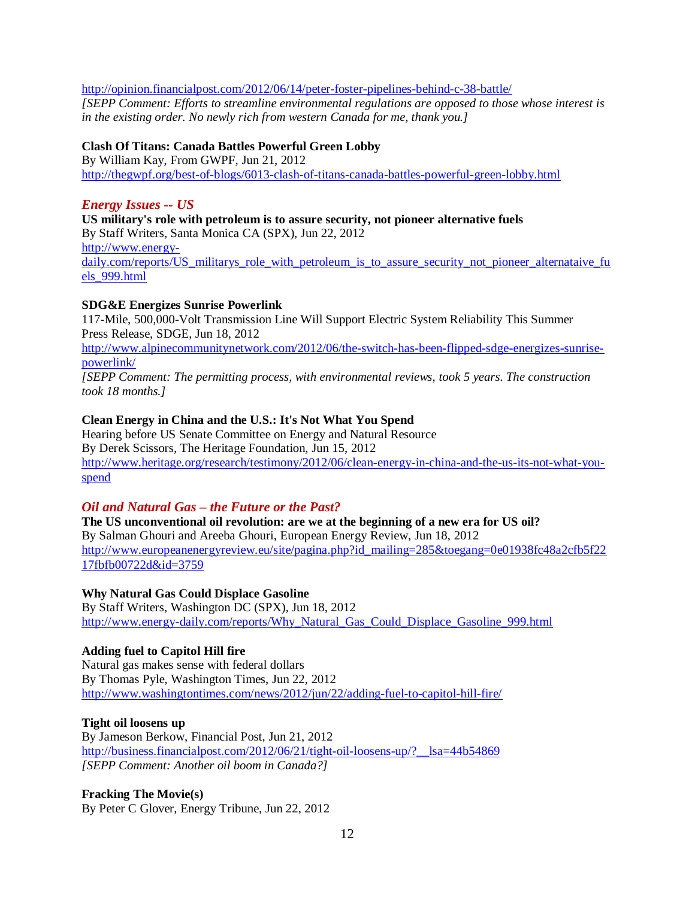http://opinion.financialpost.com/2012/06/14/peter-foster-pipelines-behind-c-38-battle/

*[SEPP Comment: Efforts to streamline environmental regulations are opposed to those whose interest is in the existing order. No newly rich from western Canada for me, thank you.]* 

### **Clash Of Titans: Canada Battles Powerful Green Lobby**

By William Kay, From GWPF, Jun 21, 2012 http://thegwpf.org/best-of-blogs/6013-clash-of-titans-canada-battles-powerful-green-lobby.html

### *Energy Issues -- US*

**US military's role with petroleum is to assure security, not pioneer alternative fuels**  By Staff Writers, Santa Monica CA (SPX), Jun 22, 2012 http://www.energydaily.com/reports/US\_militarys\_role\_with\_petroleum\_is\_to\_assure\_security\_not\_pioneer\_alternataive\_fu els\_999.html

### **SDG&E Energizes Sunrise Powerlink**

117-Mile, 500,000-Volt Transmission Line Will Support Electric System Reliability This Summer Press Release, SDGE, Jun 18, 2012

http://www.alpinecommunitynetwork.com/2012/06/the-switch-has-been-flipped-sdge-energizes-sunrisepowerlink/

*[SEPP Comment: The permitting process, with environmental reviews, took 5 years. The construction took 18 months.]* 

### **Clean Energy in China and the U.S.: It's Not What You Spend**

Hearing before US Senate Committee on Energy and Natural Resource By Derek Scissors, The Heritage Foundation, Jun 15, 2012 http://www.heritage.org/research/testimony/2012/06/clean-energy-in-china-and-the-us-its-not-what-youspend

### *Oil and Natural Gas – the Future or the Past?*

**The US unconventional oil revolution: are we at the beginning of a new era for US oil?**  By Salman Ghouri and Areeba Ghouri, European Energy Review, Jun 18, 2012 http://www.europeanenergyreview.eu/site/pagina.php?id\_mailing=285&toegang=0e01938fc48a2cfb5f22 17fbfb00722d&id=3759

#### **Why Natural Gas Could Displace Gasoline**

By Staff Writers, Washington DC (SPX), Jun 18, 2012 http://www.energy-daily.com/reports/Why\_Natural\_Gas\_Could\_Displace\_Gasoline\_999.html

#### **Adding fuel to Capitol Hill fire**

Natural gas makes sense with federal dollars By Thomas Pyle, Washington Times, Jun 22, 2012 http://www.washingtontimes.com/news/2012/jun/22/adding-fuel-to-capitol-hill-fire/

#### **Tight oil loosens up**

By Jameson Berkow, Financial Post, Jun 21, 2012 http://business.financialpost.com/2012/06/21/tight-oil-loosens-up/?\_\_lsa=44b54869 *[SEPP Comment: Another oil boom in Canada?]* 

#### **Fracking The Movie(s)**

By Peter C Glover, Energy Tribune, Jun 22, 2012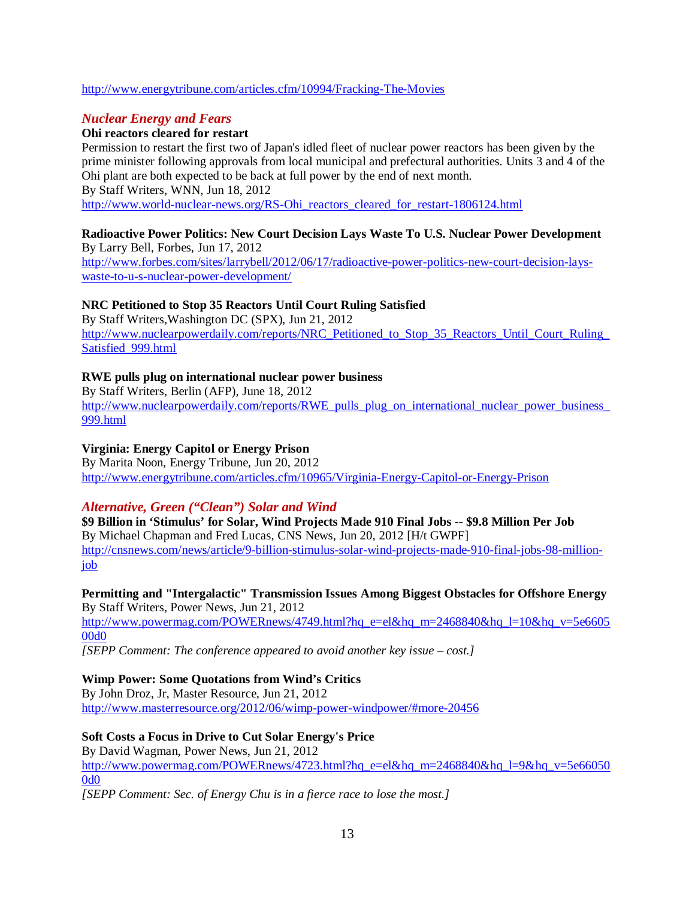#### http://www.energytribune.com/articles.cfm/10994/Fracking-The-Movies

# *Nuclear Energy and Fears*

### **Ohi reactors cleared for restart**

Permission to restart the first two of Japan's idled fleet of nuclear power reactors has been given by the prime minister following approvals from local municipal and prefectural authorities. Units 3 and 4 of the Ohi plant are both expected to be back at full power by the end of next month. By Staff Writers, WNN, Jun 18, 2012 http://www.world-nuclear-news.org/RS-Ohi\_reactors\_cleared\_for\_restart-1806124.html

# **Radioactive Power Politics: New Court Decision Lays Waste To U.S. Nuclear Power Development**

By Larry Bell, Forbes, Jun 17, 2012 http://www.forbes.com/sites/larrybell/2012/06/17/radioactive-power-politics-new-court-decision-layswaste-to-u-s-nuclear-power-development/

### **NRC Petitioned to Stop 35 Reactors Until Court Ruling Satisfied**

By Staff Writers,Washington DC (SPX), Jun 21, 2012 http://www.nuclearpowerdaily.com/reports/NRC\_Petitioned\_to\_Stop\_35\_Reactors\_Until\_Court\_Ruling\_ Satisfied\_999.html

### **RWE pulls plug on international nuclear power business**

By Staff Writers, Berlin (AFP), June 18, 2012 http://www.nuclearpowerdaily.com/reports/RWE\_pulls\_plug\_on\_international\_nuclear\_power\_business\_ 999.html

### **Virginia: Energy Capitol or Energy Prison**

By Marita Noon, Energy Tribune, Jun 20, 2012 http://www.energytribune.com/articles.cfm/10965/Virginia-Energy-Capitol-or-Energy-Prison

### *Alternative, Green ("Clean") Solar and Wind*

**\$9 Billion in 'Stimulus' for Solar, Wind Projects Made 910 Final Jobs -- \$9.8 Million Per Job**  By Michael Chapman and Fred Lucas, CNS News, Jun 20, 2012 [H/t GWPF] http://cnsnews.com/news/article/9-billion-stimulus-solar-wind-projects-made-910-final-jobs-98-millionjob

#### **Permitting and "Intergalactic" Transmission Issues Among Biggest Obstacles for Offshore Energy**  By Staff Writers, Power News, Jun 21, 2012

http://www.powermag.com/POWERnews/4749.html?hq\_e=el&hq\_m=2468840&hq\_l=10&hq\_v=5e6605 00d0

*[SEPP Comment: The conference appeared to avoid another key issue – cost.]* 

### **Wimp Power: Some Quotations from Wind's Critics**

By John Droz, Jr, Master Resource, Jun 21, 2012 http://www.masterresource.org/2012/06/wimp-power-windpower/#more-20456

#### **Soft Costs a Focus in Drive to Cut Solar Energy's Price**

By David Wagman, Power News, Jun 21, 2012 http://www.powermag.com/POWERnews/4723.html?hq\_e=el&hq\_m=2468840&hq\_l=9&hq\_v=5e66050 0d0

*[SEPP Comment: Sec. of Energy Chu is in a fierce race to lose the most.]*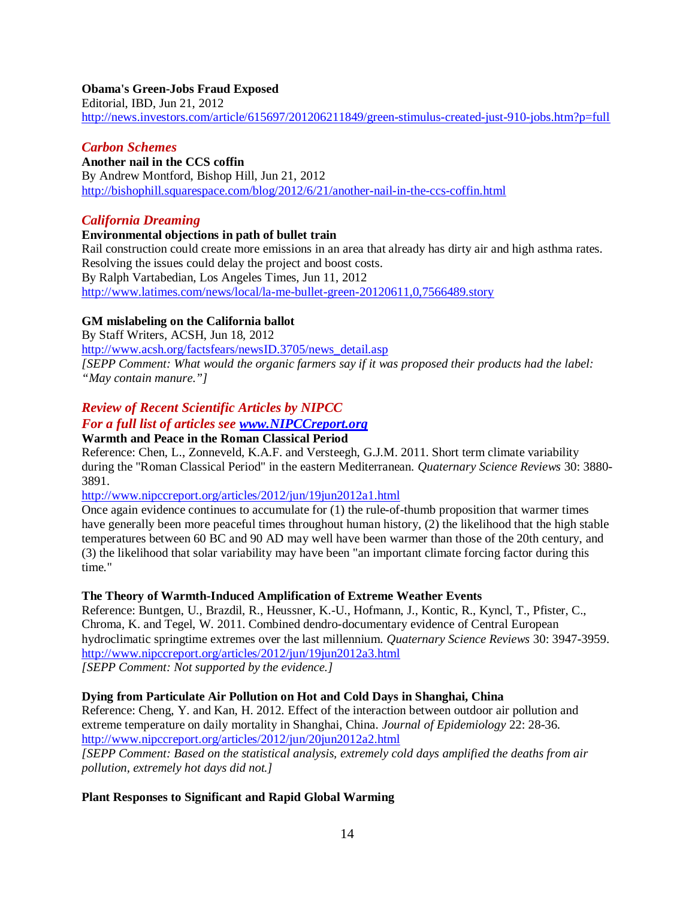### **Obama's Green-Jobs Fraud Exposed**

Editorial, IBD, Jun 21, 2012 http://news.investors.com/article/615697/201206211849/green-stimulus-created-just-910-jobs.htm?p=full

### *Carbon Schemes*

### **Another nail in the CCS coffin**

By Andrew Montford, Bishop Hill, Jun 21, 2012 http://bishophill.squarespace.com/blog/2012/6/21/another-nail-in-the-ccs-coffin.html

# *California Dreaming*

### **Environmental objections in path of bullet train**

Rail construction could create more emissions in an area that already has dirty air and high asthma rates. Resolving the issues could delay the project and boost costs. By Ralph Vartabedian, Los Angeles Times, Jun 11, 2012 http://www.latimes.com/news/local/la-me-bullet-green-20120611,0,7566489.story

### **GM mislabeling on the California ballot**

By Staff Writers, ACSH, Jun 18, 2012 http://www.acsh.org/factsfears/newsID.3705/news\_detail.asp *[SEPP Comment: What would the organic farmers say if it was proposed their products had the label: "May contain manure."]*

# *Review of Recent Scientific Articles by NIPCC*

# *For a full list of articles see www.NIPCCreport.org*

# **Warmth and Peace in the Roman Classical Period**

Reference: Chen, L., Zonneveld, K.A.F. and Versteegh, G.J.M. 2011. Short term climate variability during the "Roman Classical Period" in the eastern Mediterranean. *Quaternary Science Reviews* 30: 3880- 3891.

#### http://www.nipccreport.org/articles/2012/jun/19jun2012a1.html

Once again evidence continues to accumulate for (1) the rule-of-thumb proposition that warmer times have generally been more peaceful times throughout human history, (2) the likelihood that the high stable temperatures between 60 BC and 90 AD may well have been warmer than those of the 20th century, and (3) the likelihood that solar variability may have been "an important climate forcing factor during this time."

#### **The Theory of Warmth-Induced Amplification of Extreme Weather Events**

Reference: Buntgen, U., Brazdil, R., Heussner, K.-U., Hofmann, J., Kontic, R., Kyncl, T., Pfister, C., Chroma, K. and Tegel, W. 2011. Combined dendro-documentary evidence of Central European hydroclimatic springtime extremes over the last millennium. *Quaternary Science Reviews* 30: 3947-3959. http://www.nipccreport.org/articles/2012/jun/19jun2012a3.html *[SEPP Comment: Not supported by the evidence.]* 

#### **Dying from Particulate Air Pollution on Hot and Cold Days in Shanghai, China**

Reference: Cheng, Y. and Kan, H. 2012. Effect of the interaction between outdoor air pollution and extreme temperature on daily mortality in Shanghai, China. *Journal of Epidemiology* 22: 28-36. http://www.nipccreport.org/articles/2012/jun/20jun2012a2.html

*[SEPP Comment: Based on the statistical analysis, extremely cold days amplified the deaths from air pollution, extremely hot days did not.]* 

#### **Plant Responses to Significant and Rapid Global Warming**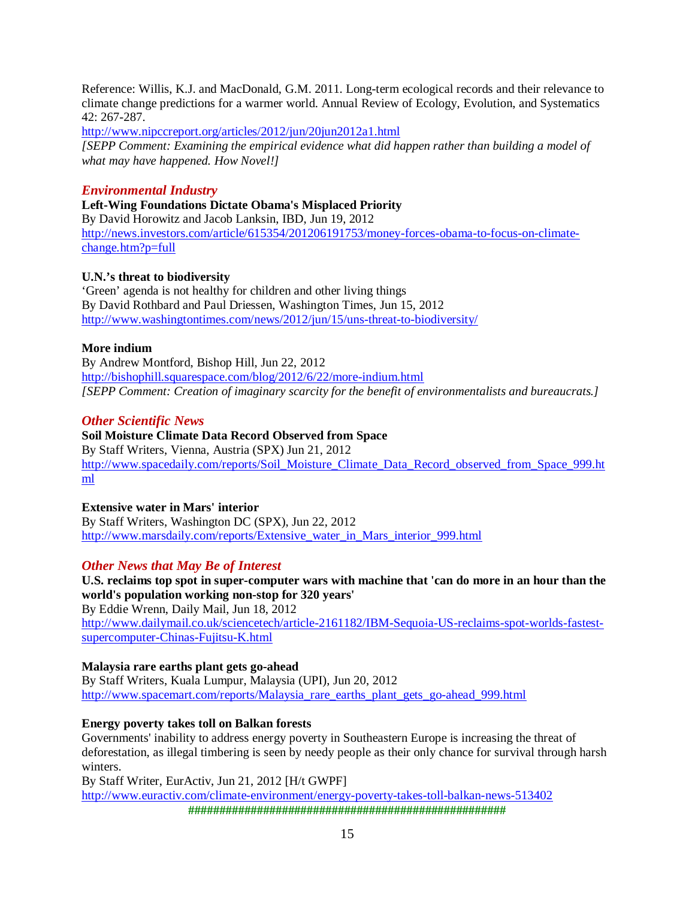Reference: Willis, K.J. and MacDonald, G.M. 2011. Long-term ecological records and their relevance to climate change predictions for a warmer world. Annual Review of Ecology, Evolution, and Systematics 42: 267-287.

http://www.nipccreport.org/articles/2012/jun/20jun2012a1.html

*[SEPP Comment: Examining the empirical evidence what did happen rather than building a model of what may have happened. How Novel!]* 

### *Environmental Industry*

### **Left-Wing Foundations Dictate Obama's Misplaced Priority**

By David Horowitz and Jacob Lanksin, IBD, Jun 19, 2012 http://news.investors.com/article/615354/201206191753/money-forces-obama-to-focus-on-climatechange.htm?p=full

### **U.N.'s threat to biodiversity**

'Green' agenda is not healthy for children and other living things By David Rothbard and Paul Driessen, Washington Times, Jun 15, 2012 http://www.washingtontimes.com/news/2012/jun/15/uns-threat-to-biodiversity/

### **More indium**

By Andrew Montford, Bishop Hill, Jun 22, 2012 http://bishophill.squarespace.com/blog/2012/6/22/more-indium.html *[SEPP Comment: Creation of imaginary scarcity for the benefit of environmentalists and bureaucrats.]*

### *Other Scientific News*

### **Soil Moisture Climate Data Record Observed from Space**

By Staff Writers, Vienna, Austria (SPX) Jun 21, 2012 http://www.spacedaily.com/reports/Soil\_Moisture\_Climate\_Data\_Record\_observed\_from\_Space\_999.ht ml

### **Extensive water in Mars' interior**

By Staff Writers, Washington DC (SPX), Jun 22, 2012 http://www.marsdaily.com/reports/Extensive\_water\_in\_Mars\_interior\_999.html

# *Other News that May Be of Interest*

**U.S. reclaims top spot in super-computer wars with machine that 'can do more in an hour than the world's population working non-stop for 320 years'**  By Eddie Wrenn, Daily Mail, Jun 18, 2012 http://www.dailymail.co.uk/sciencetech/article-2161182/IBM-Sequoia-US-reclaims-spot-worlds-fastestsupercomputer-Chinas-Fujitsu-K.html

### **Malaysia rare earths plant gets go-ahead**

By Staff Writers, Kuala Lumpur, Malaysia (UPI), Jun 20, 2012 http://www.spacemart.com/reports/Malaysia\_rare\_earths\_plant\_gets\_go-ahead\_999.html

### **Energy poverty takes toll on Balkan forests**

Governments' inability to address energy poverty in Southeastern Europe is increasing the threat of deforestation, as illegal timbering is seen by needy people as their only chance for survival through harsh winters.

By Staff Writer, EurActiv, Jun 21, 2012 [H/t GWPF]

http://www.euractiv.com/climate-environment/energy-poverty-takes-toll-balkan-news-513402 **###################################################**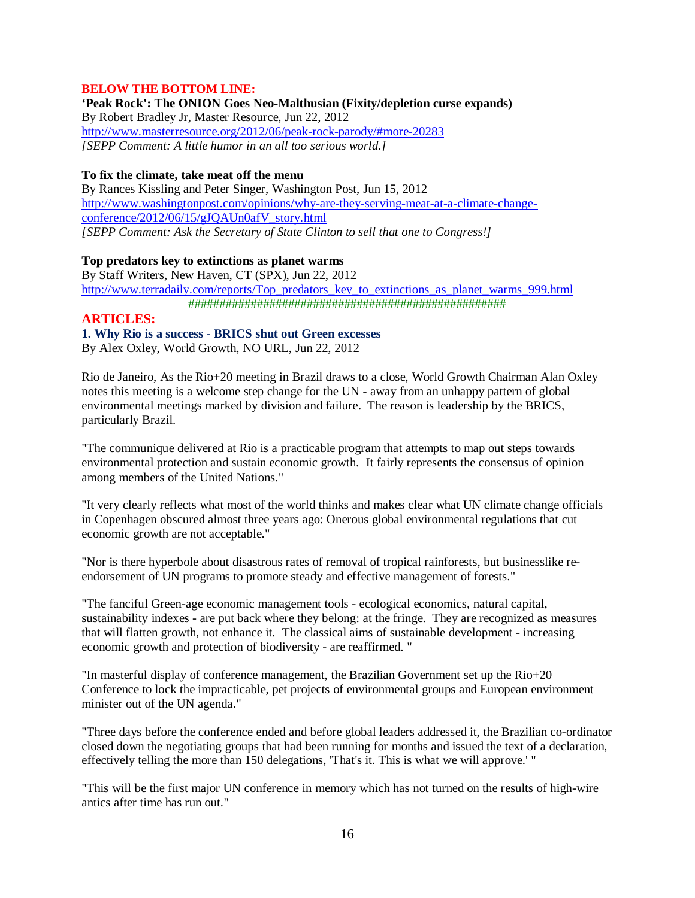#### **BELOW THE BOTTOM LINE:**

**'Peak Rock': The ONION Goes Neo-Malthusian (Fixity/depletion curse expands)**  By Robert Bradley Jr, Master Resource, Jun 22, 2012 http://www.masterresource.org/2012/06/peak-rock-parody/#more-20283 *[SEPP Comment: A little humor in an all too serious world.]* 

#### **To fix the climate, take meat off the menu**

By Rances Kissling and Peter Singer, Washington Post, Jun 15, 2012 http://www.washingtonpost.com/opinions/why-are-they-serving-meat-at-a-climate-changeconference/2012/06/15/gJQAUn0afV\_story.html *[SEPP Comment: Ask the Secretary of State Clinton to sell that one to Congress!]* 

#### **Top predators key to extinctions as planet warms**

By Staff Writers, New Haven, CT (SPX), Jun 22, 2012 http://www.terradaily.com/reports/Top\_predators\_key\_to\_extinctions\_as\_planet\_warms\_999.html ###################################################

### **ARTICLES:**

**1. Why Rio is a success - BRICS shut out Green excesses** 

By Alex Oxley, World Growth, NO URL, Jun 22, 2012

Rio de Janeiro, As the Rio+20 meeting in Brazil draws to a close, World Growth Chairman Alan Oxley notes this meeting is a welcome step change for the UN - away from an unhappy pattern of global environmental meetings marked by division and failure. The reason is leadership by the BRICS, particularly Brazil.

"The communique delivered at Rio is a practicable program that attempts to map out steps towards environmental protection and sustain economic growth. It fairly represents the consensus of opinion among members of the United Nations."

"It very clearly reflects what most of the world thinks and makes clear what UN climate change officials in Copenhagen obscured almost three years ago: Onerous global environmental regulations that cut economic growth are not acceptable."

"Nor is there hyperbole about disastrous rates of removal of tropical rainforests, but businesslike reendorsement of UN programs to promote steady and effective management of forests."

"The fanciful Green-age economic management tools - ecological economics, natural capital, sustainability indexes - are put back where they belong: at the fringe. They are recognized as measures that will flatten growth, not enhance it. The classical aims of sustainable development - increasing economic growth and protection of biodiversity - are reaffirmed. "

"In masterful display of conference management, the Brazilian Government set up the Rio+20 Conference to lock the impracticable, pet projects of environmental groups and European environment minister out of the UN agenda."

"Three days before the conference ended and before global leaders addressed it, the Brazilian co-ordinator closed down the negotiating groups that had been running for months and issued the text of a declaration, effectively telling the more than 150 delegations, 'That's it. This is what we will approve.' "

"This will be the first major UN conference in memory which has not turned on the results of high-wire antics after time has run out."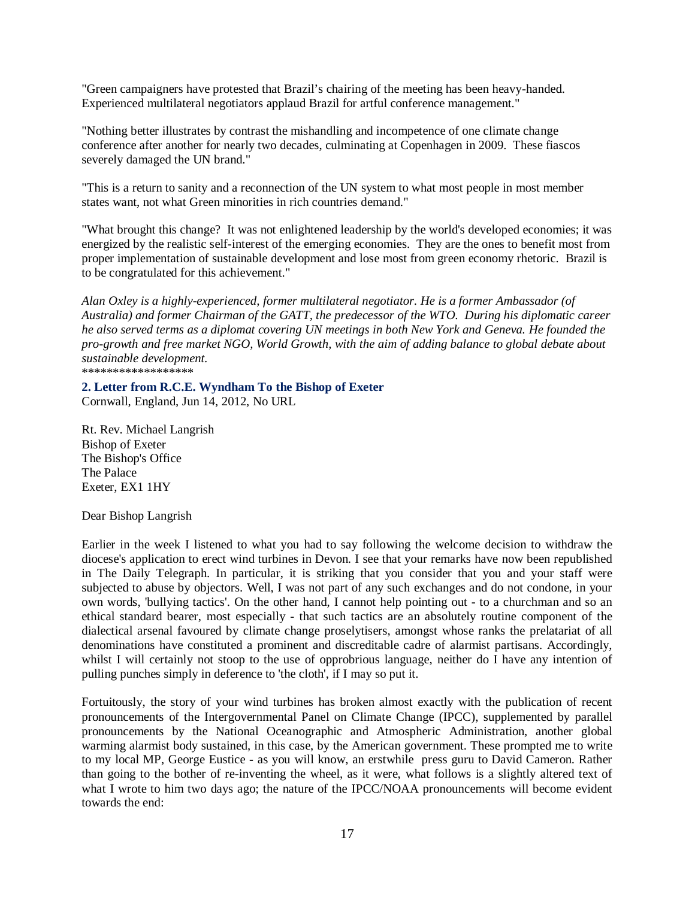"Green campaigners have protested that Brazil's chairing of the meeting has been heavy-handed. Experienced multilateral negotiators applaud Brazil for artful conference management."

"Nothing better illustrates by contrast the mishandling and incompetence of one climate change conference after another for nearly two decades, culminating at Copenhagen in 2009. These fiascos severely damaged the UN brand."

"This is a return to sanity and a reconnection of the UN system to what most people in most member states want, not what Green minorities in rich countries demand."

"What brought this change? It was not enlightened leadership by the world's developed economies; it was energized by the realistic self-interest of the emerging economies. They are the ones to benefit most from proper implementation of sustainable development and lose most from green economy rhetoric. Brazil is to be congratulated for this achievement."

*Alan Oxley is a highly-experienced, former multilateral negotiator. He is a former Ambassador (of Australia) and former Chairman of the GATT, the predecessor of the WTO. During his diplomatic career he also served terms as a diplomat covering UN meetings in both New York and Geneva. He founded the pro-growth and free market NGO, World Growth, with the aim of adding balance to global debate about sustainable development.* \*\*\*\*\*\*\*\*\*\*\*\*\*\*\*\*\*\*

#### **2. Letter from R.C.E. Wyndham To the Bishop of Exeter**  Cornwall, England, Jun 14, 2012, No URL

Rt. Rev. Michael Langrish Bishop of Exeter The Bishop's Office The Palace Exeter, EX1 1HY

Dear Bishop Langrish

Earlier in the week I listened to what you had to say following the welcome decision to withdraw the diocese's application to erect wind turbines in Devon. I see that your remarks have now been republished in The Daily Telegraph. In particular, it is striking that you consider that you and your staff were subjected to abuse by objectors. Well, I was not part of any such exchanges and do not condone, in your own words, 'bullying tactics'. On the other hand, I cannot help pointing out - to a churchman and so an ethical standard bearer, most especially - that such tactics are an absolutely routine component of the dialectical arsenal favoured by climate change proselytisers, amongst whose ranks the prelatariat of all denominations have constituted a prominent and discreditable cadre of alarmist partisans. Accordingly, whilst I will certainly not stoop to the use of opprobrious language, neither do I have any intention of pulling punches simply in deference to 'the cloth', if I may so put it.

Fortuitously, the story of your wind turbines has broken almost exactly with the publication of recent pronouncements of the Intergovernmental Panel on Climate Change (IPCC), supplemented by parallel pronouncements by the National Oceanographic and Atmospheric Administration, another global warming alarmist body sustained, in this case, by the American government. These prompted me to write to my local MP, George Eustice - as you will know, an erstwhile press guru to David Cameron. Rather than going to the bother of re-inventing the wheel, as it were, what follows is a slightly altered text of what I wrote to him two days ago; the nature of the IPCC/NOAA pronouncements will become evident towards the end: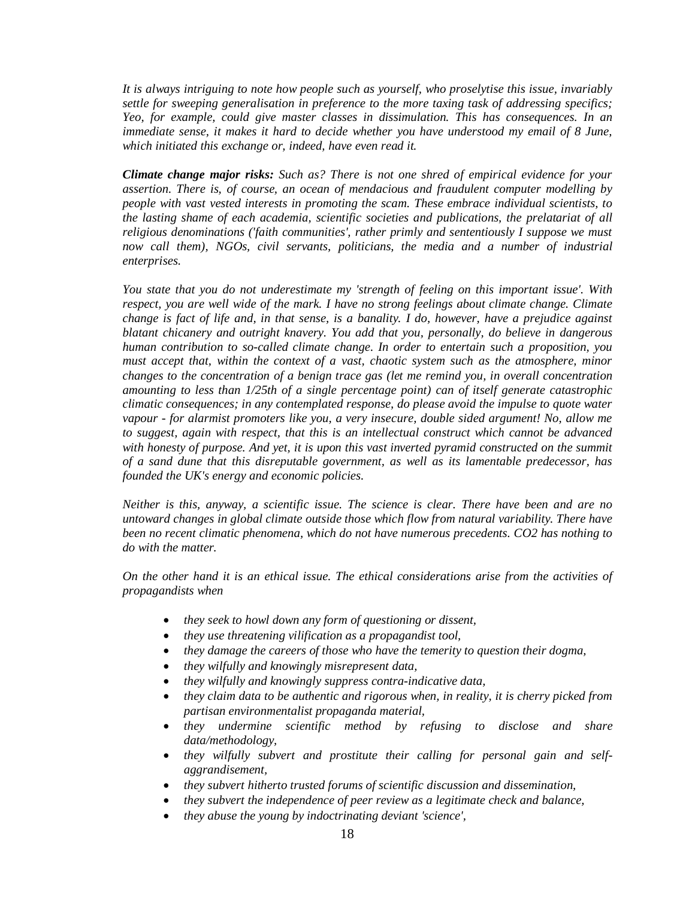*It is always intriguing to note how people such as yourself, who proselytise this issue, invariably settle for sweeping generalisation in preference to the more taxing task of addressing specifics; Yeo, for example, could give master classes in dissimulation. This has consequences. In an immediate sense, it makes it hard to decide whether you have understood my email of 8 June, which initiated this exchange or, indeed, have even read it.* 

*Climate change major risks: Such as? There is not one shred of empirical evidence for your assertion. There is, of course, an ocean of mendacious and fraudulent computer modelling by people with vast vested interests in promoting the scam. These embrace individual scientists, to the lasting shame of each academia, scientific societies and publications, the prelatariat of all religious denominations ('faith communities', rather primly and sententiously I suppose we must*  now call them), NGOs, civil servants, politicians, the media and a number of industrial *enterprises.* 

*You state that you do not underestimate my 'strength of feeling on this important issue'. With*  respect, you are well wide of the mark. I have no strong feelings about climate change. Climate *change is fact of life and, in that sense, is a banality. I do, however, have a prejudice against blatant chicanery and outright knavery. You add that you, personally, do believe in dangerous human contribution to so-called climate change. In order to entertain such a proposition, you must accept that, within the context of a vast, chaotic system such as the atmosphere, minor changes to the concentration of a benign trace gas (let me remind you, in overall concentration amounting to less than 1/25th of a single percentage point) can of itself generate catastrophic climatic consequences; in any contemplated response, do please avoid the impulse to quote water vapour - for alarmist promoters like you, a very insecure, double sided argument! No, allow me to suggest, again with respect, that this is an intellectual construct which cannot be advanced*  with honesty of purpose. And yet, it is upon this vast inverted pyramid constructed on the summit *of a sand dune that this disreputable government, as well as its lamentable predecessor, has founded the UK's energy and economic policies.* 

*Neither is this, anyway, a scientific issue. The science is clear. There have been and are no untoward changes in global climate outside those which flow from natural variability. There have been no recent climatic phenomena, which do not have numerous precedents. CO2 has nothing to do with the matter.* 

*On the other hand it is an ethical issue. The ethical considerations arise from the activities of propagandists when* 

- � *they seek to howl down any form of questioning or dissent,*
- � *they use threatening vilification as a propagandist tool,*
- � *they damage the careers of those who have the temerity to question their dogma,*
- � *they wilfully and knowingly misrepresent data,*
- � *they wilfully and knowingly suppress contra-indicative data,*
- � *they claim data to be authentic and rigorous when, in reality, it is cherry picked from partisan environmentalist propaganda material,*
- � *they undermine scientific method by refusing to disclose and share data/methodology,*
- � *they wilfully subvert and prostitute their calling for personal gain and selfaggrandisement,*
- � *they subvert hitherto trusted forums of scientific discussion and dissemination,*
- � *they subvert the independence of peer review as a legitimate check and balance,*
- � *they abuse the young by indoctrinating deviant 'science',*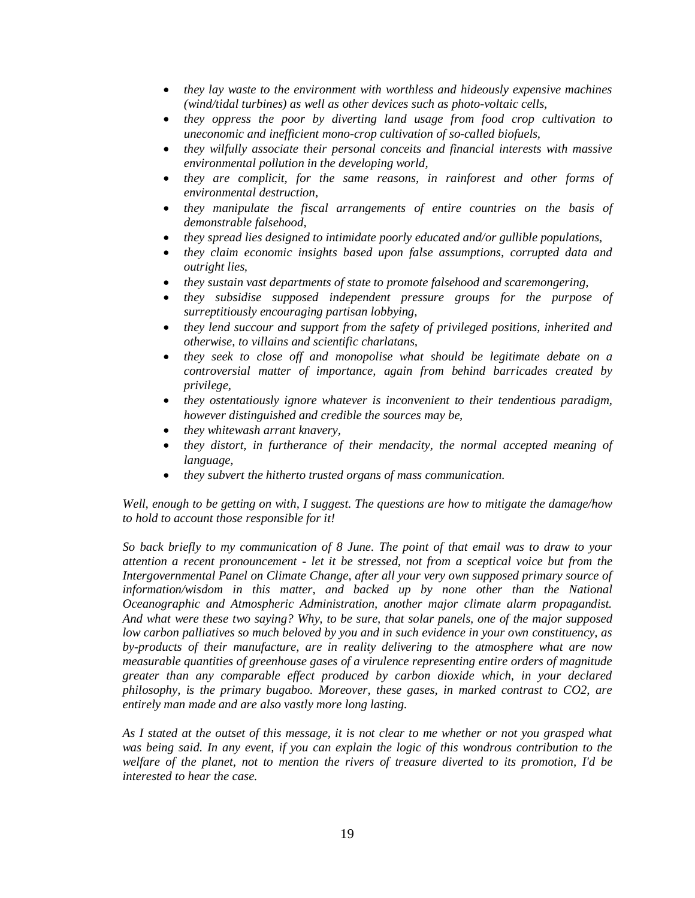- � *they lay waste to the environment with worthless and hideously expensive machines (wind/tidal turbines) as well as other devices such as photo-voltaic cells,*
- � *they oppress the poor by diverting land usage from food crop cultivation to uneconomic and inefficient mono-crop cultivation of so-called biofuels,*
- � *they wilfully associate their personal conceits and financial interests with massive environmental pollution in the developing world,*
- � *they are complicit, for the same reasons, in rainforest and other forms of environmental destruction,*
- � *they manipulate the fiscal arrangements of entire countries on the basis of demonstrable falsehood,*
- � *they spread lies designed to intimidate poorly educated and/or gullible populations,*
- � *they claim economic insights based upon false assumptions, corrupted data and outright lies,*
- � *they sustain vast departments of state to promote falsehood and scaremongering,*
- � *they subsidise supposed independent pressure groups for the purpose of surreptitiously encouraging partisan lobbying,*
- � *they lend succour and support from the safety of privileged positions, inherited and otherwise, to villains and scientific charlatans,*
- � *they seek to close off and monopolise what should be legitimate debate on a controversial matter of importance, again from behind barricades created by privilege,*
- � *they ostentatiously ignore whatever is inconvenient to their tendentious paradigm, however distinguished and credible the sources may be,*
- � *they whitewash arrant knavery,*
- � *they distort, in furtherance of their mendacity, the normal accepted meaning of language,*
- � *they subvert the hitherto trusted organs of mass communication.*

*Well, enough to be getting on with, I suggest. The questions are how to mitigate the damage/how to hold to account those responsible for it!* 

*So back briefly to my communication of 8 June. The point of that email was to draw to your attention a recent pronouncement - let it be stressed, not from a sceptical voice but from the Intergovernmental Panel on Climate Change, after all your very own supposed primary source of information/wisdom in this matter, and backed up by none other than the National Oceanographic and Atmospheric Administration, another major climate alarm propagandist. And what were these two saying? Why, to be sure, that solar panels, one of the major supposed low carbon palliatives so much beloved by you and in such evidence in your own constituency, as by-products of their manufacture, are in reality delivering to the atmosphere what are now measurable quantities of greenhouse gases of a virulence representing entire orders of magnitude greater than any comparable effect produced by carbon dioxide which, in your declared philosophy, is the primary bugaboo. Moreover, these gases, in marked contrast to CO2, are entirely man made and are also vastly more long lasting.* 

*As I stated at the outset of this message, it is not clear to me whether or not you grasped what was being said. In any event, if you can explain the logic of this wondrous contribution to the welfare of the planet, not to mention the rivers of treasure diverted to its promotion, I'd be interested to hear the case.*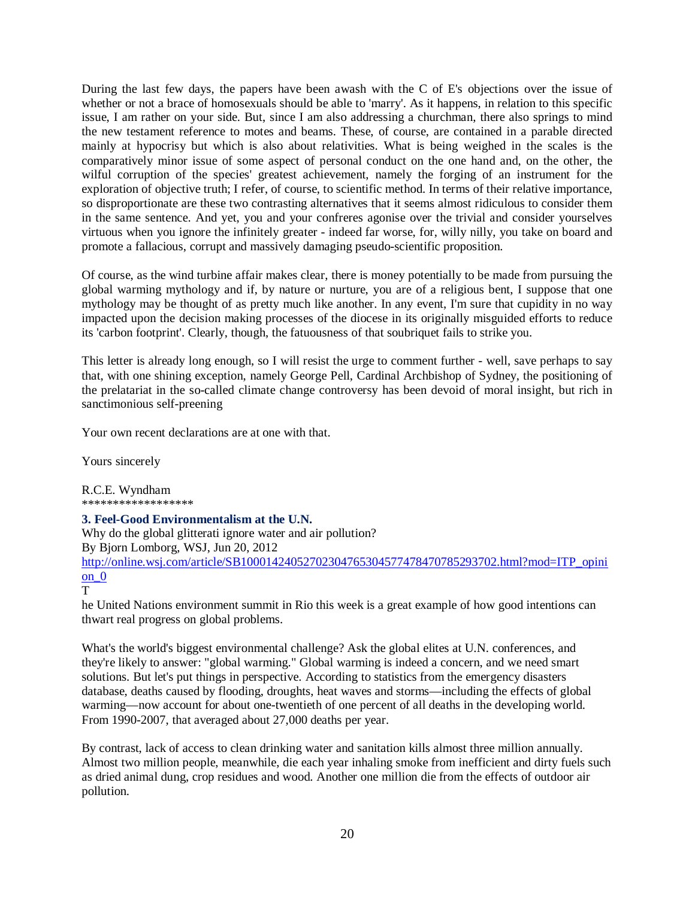During the last few days, the papers have been awash with the C of E's objections over the issue of whether or not a brace of homosexuals should be able to 'marry'. As it happens, in relation to this specific issue, I am rather on your side. But, since I am also addressing a churchman, there also springs to mind the new testament reference to motes and beams. These, of course, are contained in a parable directed mainly at hypocrisy but which is also about relativities. What is being weighed in the scales is the comparatively minor issue of some aspect of personal conduct on the one hand and, on the other, the wilful corruption of the species' greatest achievement, namely the forging of an instrument for the exploration of objective truth; I refer, of course, to scientific method. In terms of their relative importance, so disproportionate are these two contrasting alternatives that it seems almost ridiculous to consider them in the same sentence. And yet, you and your confreres agonise over the trivial and consider yourselves virtuous when you ignore the infinitely greater - indeed far worse, for, willy nilly, you take on board and promote a fallacious, corrupt and massively damaging pseudo-scientific proposition.

Of course, as the wind turbine affair makes clear, there is money potentially to be made from pursuing the global warming mythology and if, by nature or nurture, you are of a religious bent, I suppose that one mythology may be thought of as pretty much like another. In any event, I'm sure that cupidity in no way impacted upon the decision making processes of the diocese in its originally misguided efforts to reduce its 'carbon footprint'. Clearly, though, the fatuousness of that soubriquet fails to strike you.

This letter is already long enough, so I will resist the urge to comment further - well, save perhaps to say that, with one shining exception, namely George Pell, Cardinal Archbishop of Sydney, the positioning of the prelatariat in the so-called climate change controversy has been devoid of moral insight, but rich in sanctimonious self-preening

Your own recent declarations are at one with that.

Yours sincerely

R.C.E. Wyndham \*\*\*\*\*\*\*\*\*\*\*\*\*\*\*\*\*\*

#### **3. Feel-Good Environmentalism at the U.N.**

Why do the global glitterati ignore water and air pollution? By Bjorn Lomborg, WSJ, Jun 20, 2012 http://online.wsj.com/article/SB10001424052702304765304577478470785293702.html?mod=ITP\_opini on\_0 T

he United Nations environment summit in Rio this week is a great example of how good intentions can thwart real progress on global problems.

What's the world's biggest environmental challenge? Ask the global elites at U.N. conferences, and they're likely to answer: "global warming." Global warming is indeed a concern, and we need smart solutions. But let's put things in perspective. According to statistics from the emergency disasters database, deaths caused by flooding, droughts, heat waves and storms—including the effects of global warming—now account for about one-twentieth of one percent of all deaths in the developing world. From 1990-2007, that averaged about 27,000 deaths per year.

By contrast, lack of access to clean drinking water and sanitation kills almost three million annually. Almost two million people, meanwhile, die each year inhaling smoke from inefficient and dirty fuels such as dried animal dung, crop residues and wood. Another one million die from the effects of outdoor air pollution.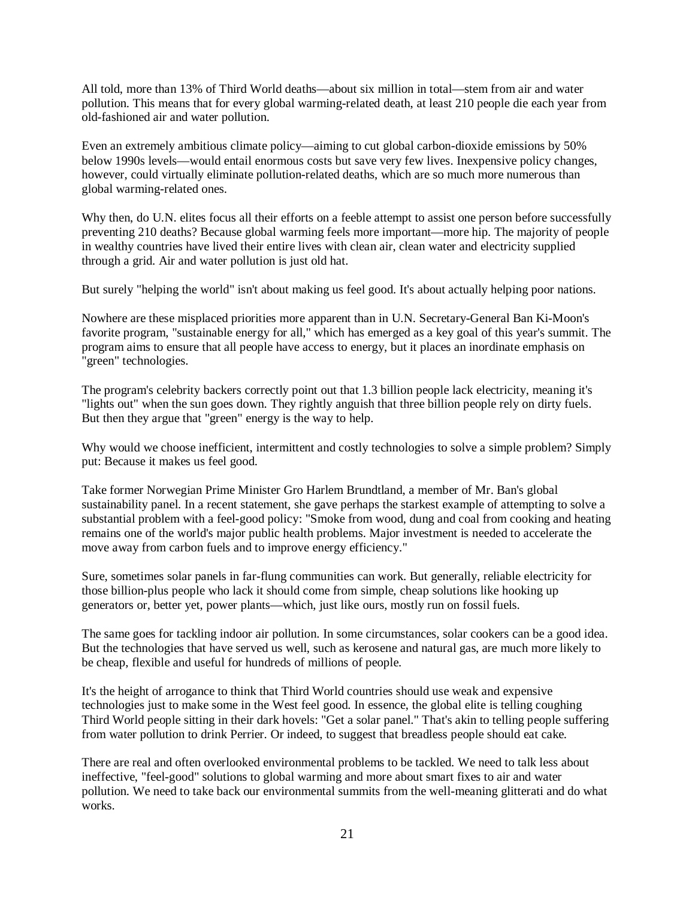All told, more than 13% of Third World deaths—about six million in total—stem from air and water pollution. This means that for every global warming-related death, at least 210 people die each year from old-fashioned air and water pollution.

Even an extremely ambitious climate policy—aiming to cut global carbon-dioxide emissions by 50% below 1990s levels—would entail enormous costs but save very few lives. Inexpensive policy changes, however, could virtually eliminate pollution-related deaths, which are so much more numerous than global warming-related ones.

Why then, do U.N. elites focus all their efforts on a feeble attempt to assist one person before successfully preventing 210 deaths? Because global warming feels more important—more hip. The majority of people in wealthy countries have lived their entire lives with clean air, clean water and electricity supplied through a grid. Air and water pollution is just old hat.

But surely "helping the world" isn't about making us feel good. It's about actually helping poor nations.

Nowhere are these misplaced priorities more apparent than in U.N. Secretary-General Ban Ki-Moon's favorite program, "sustainable energy for all," which has emerged as a key goal of this year's summit. The program aims to ensure that all people have access to energy, but it places an inordinate emphasis on "green" technologies.

The program's celebrity backers correctly point out that 1.3 billion people lack electricity, meaning it's "lights out" when the sun goes down. They rightly anguish that three billion people rely on dirty fuels. But then they argue that "green" energy is the way to help.

Why would we choose inefficient, intermittent and costly technologies to solve a simple problem? Simply put: Because it makes us feel good.

Take former Norwegian Prime Minister Gro Harlem Brundtland, a member of Mr. Ban's global sustainability panel. In a recent statement, she gave perhaps the starkest example of attempting to solve a substantial problem with a feel-good policy: "Smoke from wood, dung and coal from cooking and heating remains one of the world's major public health problems. Major investment is needed to accelerate the move away from carbon fuels and to improve energy efficiency."

Sure, sometimes solar panels in far-flung communities can work. But generally, reliable electricity for those billion-plus people who lack it should come from simple, cheap solutions like hooking up generators or, better yet, power plants—which, just like ours, mostly run on fossil fuels.

The same goes for tackling indoor air pollution. In some circumstances, solar cookers can be a good idea. But the technologies that have served us well, such as kerosene and natural gas, are much more likely to be cheap, flexible and useful for hundreds of millions of people.

It's the height of arrogance to think that Third World countries should use weak and expensive technologies just to make some in the West feel good. In essence, the global elite is telling coughing Third World people sitting in their dark hovels: "Get a solar panel." That's akin to telling people suffering from water pollution to drink Perrier. Or indeed, to suggest that breadless people should eat cake.

There are real and often overlooked environmental problems to be tackled. We need to talk less about ineffective, "feel-good" solutions to global warming and more about smart fixes to air and water pollution. We need to take back our environmental summits from the well-meaning glitterati and do what works.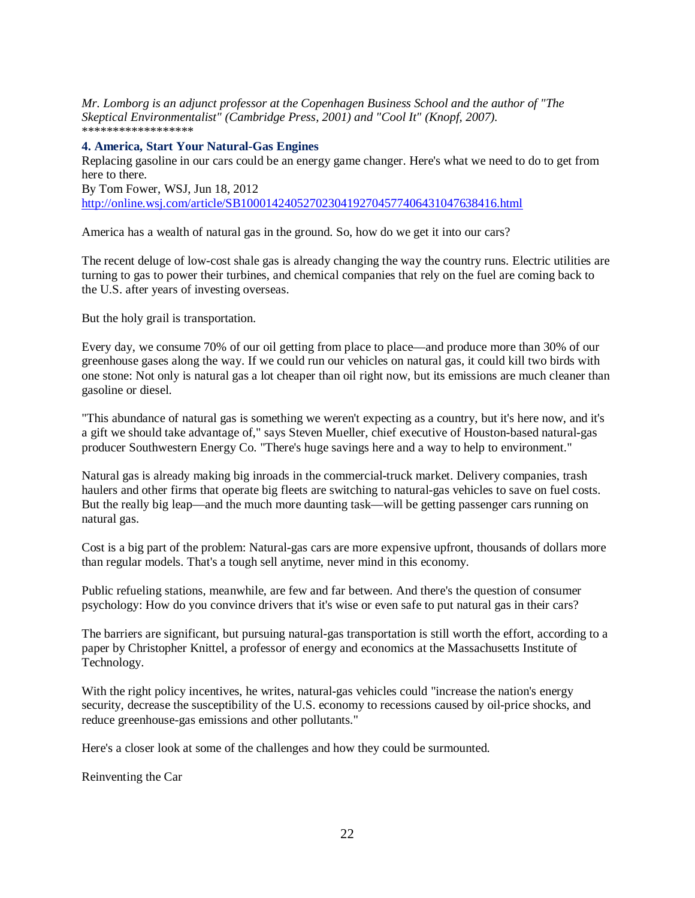*Mr. Lomborg is an adjunct professor at the Copenhagen Business School and the author of "The Skeptical Environmentalist" (Cambridge Press, 2001) and "Cool It" (Knopf, 2007).*  \*\*\*\*\*\*\*\*\*\*\*\*\*\*\*\*\*\*

#### **4. America, Start Your Natural-Gas Engines**

Replacing gasoline in our cars could be an energy game changer. Here's what we need to do to get from here to there.

By Tom Fower, WSJ, Jun 18, 2012 http://online.wsj.com/article/SB10001424052702304192704577406431047638416.html

America has a wealth of natural gas in the ground. So, how do we get it into our cars?

The recent deluge of low-cost shale gas is already changing the way the country runs. Electric utilities are turning to gas to power their turbines, and chemical companies that rely on the fuel are coming back to the U.S. after years of investing overseas.

But the holy grail is transportation.

Every day, we consume 70% of our oil getting from place to place—and produce more than 30% of our greenhouse gases along the way. If we could run our vehicles on natural gas, it could kill two birds with one stone: Not only is natural gas a lot cheaper than oil right now, but its emissions are much cleaner than gasoline or diesel.

"This abundance of natural gas is something we weren't expecting as a country, but it's here now, and it's a gift we should take advantage of," says Steven Mueller, chief executive of Houston-based natural-gas producer Southwestern Energy Co. "There's huge savings here and a way to help to environment."

Natural gas is already making big inroads in the commercial-truck market. Delivery companies, trash haulers and other firms that operate big fleets are switching to natural-gas vehicles to save on fuel costs. But the really big leap—and the much more daunting task—will be getting passenger cars running on natural gas.

Cost is a big part of the problem: Natural-gas cars are more expensive upfront, thousands of dollars more than regular models. That's a tough sell anytime, never mind in this economy.

Public refueling stations, meanwhile, are few and far between. And there's the question of consumer psychology: How do you convince drivers that it's wise or even safe to put natural gas in their cars?

The barriers are significant, but pursuing natural-gas transportation is still worth the effort, according to a paper by Christopher Knittel, a professor of energy and economics at the Massachusetts Institute of Technology.

With the right policy incentives, he writes, natural-gas vehicles could "increase the nation's energy security, decrease the susceptibility of the U.S. economy to recessions caused by oil-price shocks, and reduce greenhouse-gas emissions and other pollutants."

Here's a closer look at some of the challenges and how they could be surmounted.

Reinventing the Car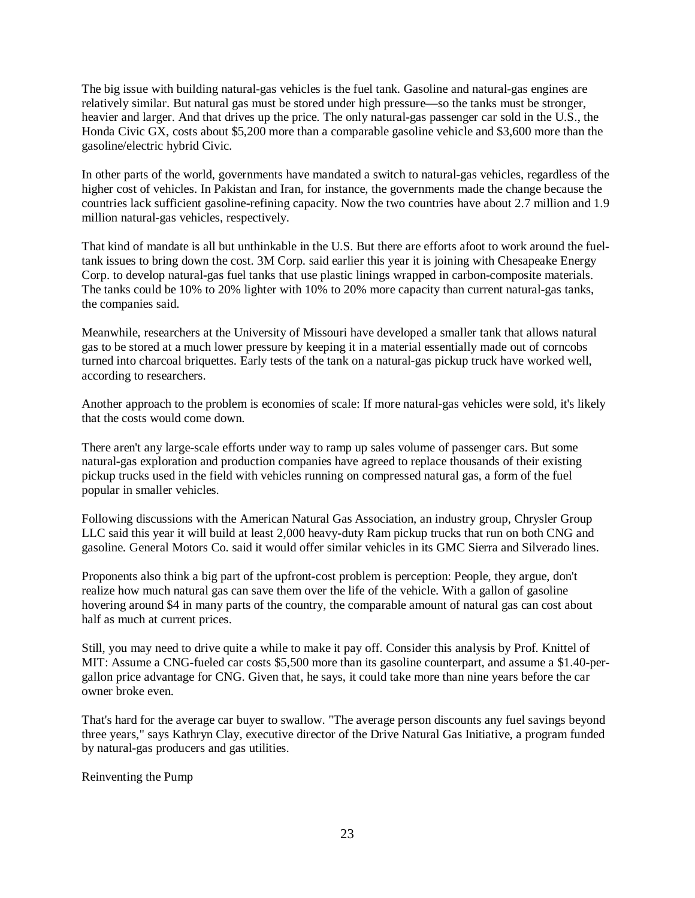The big issue with building natural-gas vehicles is the fuel tank. Gasoline and natural-gas engines are relatively similar. But natural gas must be stored under high pressure—so the tanks must be stronger, heavier and larger. And that drives up the price. The only natural-gas passenger car sold in the U.S., the Honda Civic GX, costs about \$5,200 more than a comparable gasoline vehicle and \$3,600 more than the gasoline/electric hybrid Civic.

In other parts of the world, governments have mandated a switch to natural-gas vehicles, regardless of the higher cost of vehicles. In Pakistan and Iran, for instance, the governments made the change because the countries lack sufficient gasoline-refining capacity. Now the two countries have about 2.7 million and 1.9 million natural-gas vehicles, respectively.

That kind of mandate is all but unthinkable in the U.S. But there are efforts afoot to work around the fueltank issues to bring down the cost. 3M Corp. said earlier this year it is joining with Chesapeake Energy Corp. to develop natural-gas fuel tanks that use plastic linings wrapped in carbon-composite materials. The tanks could be 10% to 20% lighter with 10% to 20% more capacity than current natural-gas tanks, the companies said.

Meanwhile, researchers at the University of Missouri have developed a smaller tank that allows natural gas to be stored at a much lower pressure by keeping it in a material essentially made out of corncobs turned into charcoal briquettes. Early tests of the tank on a natural-gas pickup truck have worked well, according to researchers.

Another approach to the problem is economies of scale: If more natural-gas vehicles were sold, it's likely that the costs would come down.

There aren't any large-scale efforts under way to ramp up sales volume of passenger cars. But some natural-gas exploration and production companies have agreed to replace thousands of their existing pickup trucks used in the field with vehicles running on compressed natural gas, a form of the fuel popular in smaller vehicles.

Following discussions with the American Natural Gas Association, an industry group, Chrysler Group LLC said this year it will build at least 2,000 heavy-duty Ram pickup trucks that run on both CNG and gasoline. General Motors Co. said it would offer similar vehicles in its GMC Sierra and Silverado lines.

Proponents also think a big part of the upfront-cost problem is perception: People, they argue, don't realize how much natural gas can save them over the life of the vehicle. With a gallon of gasoline hovering around \$4 in many parts of the country, the comparable amount of natural gas can cost about half as much at current prices.

Still, you may need to drive quite a while to make it pay off. Consider this analysis by Prof. Knittel of MIT: Assume a CNG-fueled car costs \$5,500 more than its gasoline counterpart, and assume a \$1.40-pergallon price advantage for CNG. Given that, he says, it could take more than nine years before the car owner broke even.

That's hard for the average car buyer to swallow. "The average person discounts any fuel savings beyond three years," says Kathryn Clay, executive director of the Drive Natural Gas Initiative, a program funded by natural-gas producers and gas utilities.

Reinventing the Pump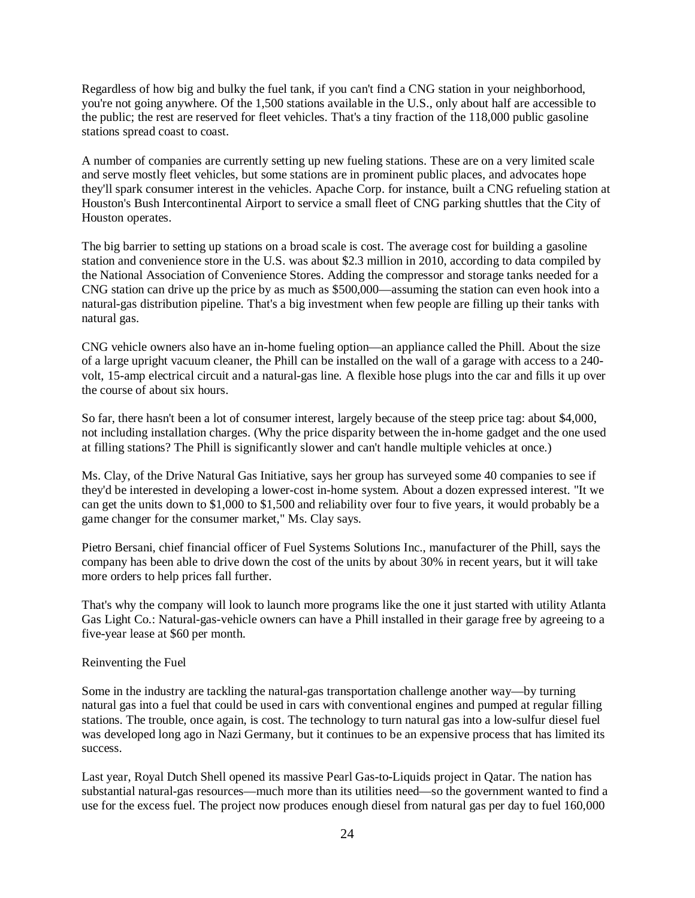Regardless of how big and bulky the fuel tank, if you can't find a CNG station in your neighborhood, you're not going anywhere. Of the 1,500 stations available in the U.S., only about half are accessible to the public; the rest are reserved for fleet vehicles. That's a tiny fraction of the 118,000 public gasoline stations spread coast to coast.

A number of companies are currently setting up new fueling stations. These are on a very limited scale and serve mostly fleet vehicles, but some stations are in prominent public places, and advocates hope they'll spark consumer interest in the vehicles. Apache Corp. for instance, built a CNG refueling station at Houston's Bush Intercontinental Airport to service a small fleet of CNG parking shuttles that the City of Houston operates.

The big barrier to setting up stations on a broad scale is cost. The average cost for building a gasoline station and convenience store in the U.S. was about \$2.3 million in 2010, according to data compiled by the National Association of Convenience Stores. Adding the compressor and storage tanks needed for a CNG station can drive up the price by as much as \$500,000—assuming the station can even hook into a natural-gas distribution pipeline. That's a big investment when few people are filling up their tanks with natural gas.

CNG vehicle owners also have an in-home fueling option—an appliance called the Phill. About the size of a large upright vacuum cleaner, the Phill can be installed on the wall of a garage with access to a 240 volt, 15-amp electrical circuit and a natural-gas line. A flexible hose plugs into the car and fills it up over the course of about six hours.

So far, there hasn't been a lot of consumer interest, largely because of the steep price tag: about \$4,000, not including installation charges. (Why the price disparity between the in-home gadget and the one used at filling stations? The Phill is significantly slower and can't handle multiple vehicles at once.)

Ms. Clay, of the Drive Natural Gas Initiative, says her group has surveyed some 40 companies to see if they'd be interested in developing a lower-cost in-home system. About a dozen expressed interest. "It we can get the units down to \$1,000 to \$1,500 and reliability over four to five years, it would probably be a game changer for the consumer market," Ms. Clay says.

Pietro Bersani, chief financial officer of Fuel Systems Solutions Inc., manufacturer of the Phill, says the company has been able to drive down the cost of the units by about 30% in recent years, but it will take more orders to help prices fall further.

That's why the company will look to launch more programs like the one it just started with utility Atlanta Gas Light Co.: Natural-gas-vehicle owners can have a Phill installed in their garage free by agreeing to a five-year lease at \$60 per month.

#### Reinventing the Fuel

Some in the industry are tackling the natural-gas transportation challenge another way—by turning natural gas into a fuel that could be used in cars with conventional engines and pumped at regular filling stations. The trouble, once again, is cost. The technology to turn natural gas into a low-sulfur diesel fuel was developed long ago in Nazi Germany, but it continues to be an expensive process that has limited its success.

Last year, Royal Dutch Shell opened its massive Pearl Gas-to-Liquids project in Qatar. The nation has substantial natural-gas resources—much more than its utilities need—so the government wanted to find a use for the excess fuel. The project now produces enough diesel from natural gas per day to fuel 160,000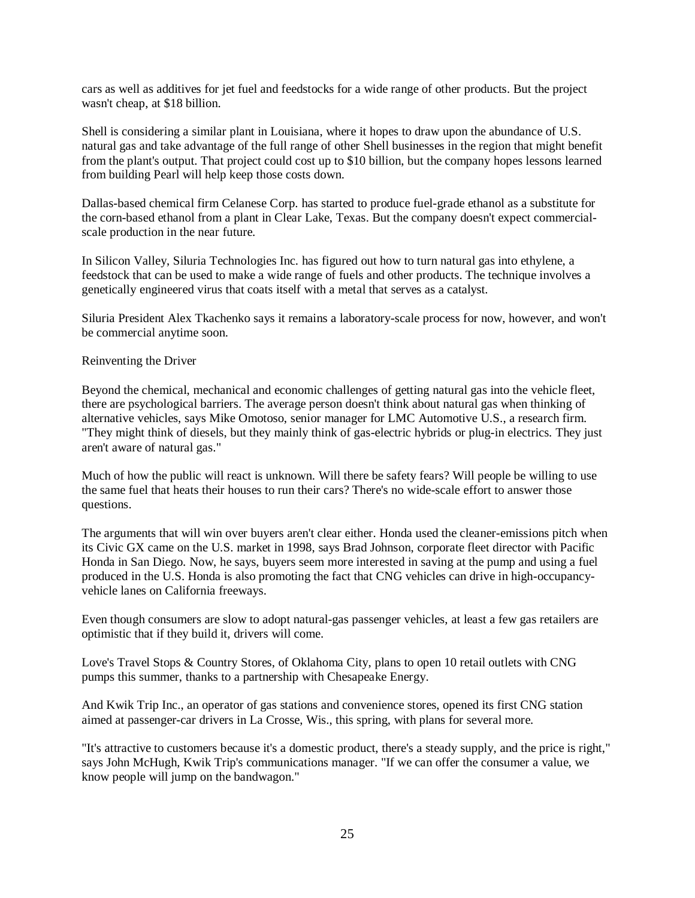cars as well as additives for jet fuel and feedstocks for a wide range of other products. But the project wasn't cheap, at \$18 billion.

Shell is considering a similar plant in Louisiana, where it hopes to draw upon the abundance of U.S. natural gas and take advantage of the full range of other Shell businesses in the region that might benefit from the plant's output. That project could cost up to \$10 billion, but the company hopes lessons learned from building Pearl will help keep those costs down.

Dallas-based chemical firm Celanese Corp. has started to produce fuel-grade ethanol as a substitute for the corn-based ethanol from a plant in Clear Lake, Texas. But the company doesn't expect commercialscale production in the near future.

In Silicon Valley, Siluria Technologies Inc. has figured out how to turn natural gas into ethylene, a feedstock that can be used to make a wide range of fuels and other products. The technique involves a genetically engineered virus that coats itself with a metal that serves as a catalyst.

Siluria President Alex Tkachenko says it remains a laboratory-scale process for now, however, and won't be commercial anytime soon.

#### Reinventing the Driver

Beyond the chemical, mechanical and economic challenges of getting natural gas into the vehicle fleet, there are psychological barriers. The average person doesn't think about natural gas when thinking of alternative vehicles, says Mike Omotoso, senior manager for LMC Automotive U.S., a research firm. "They might think of diesels, but they mainly think of gas-electric hybrids or plug-in electrics. They just aren't aware of natural gas."

Much of how the public will react is unknown. Will there be safety fears? Will people be willing to use the same fuel that heats their houses to run their cars? There's no wide-scale effort to answer those questions.

The arguments that will win over buyers aren't clear either. Honda used the cleaner-emissions pitch when its Civic GX came on the U.S. market in 1998, says Brad Johnson, corporate fleet director with Pacific Honda in San Diego. Now, he says, buyers seem more interested in saving at the pump and using a fuel produced in the U.S. Honda is also promoting the fact that CNG vehicles can drive in high-occupancyvehicle lanes on California freeways.

Even though consumers are slow to adopt natural-gas passenger vehicles, at least a few gas retailers are optimistic that if they build it, drivers will come.

Love's Travel Stops & Country Stores, of Oklahoma City, plans to open 10 retail outlets with CNG pumps this summer, thanks to a partnership with Chesapeake Energy.

And Kwik Trip Inc., an operator of gas stations and convenience stores, opened its first CNG station aimed at passenger-car drivers in La Crosse, Wis., this spring, with plans for several more.

"It's attractive to customers because it's a domestic product, there's a steady supply, and the price is right," says John McHugh, Kwik Trip's communications manager. "If we can offer the consumer a value, we know people will jump on the bandwagon."